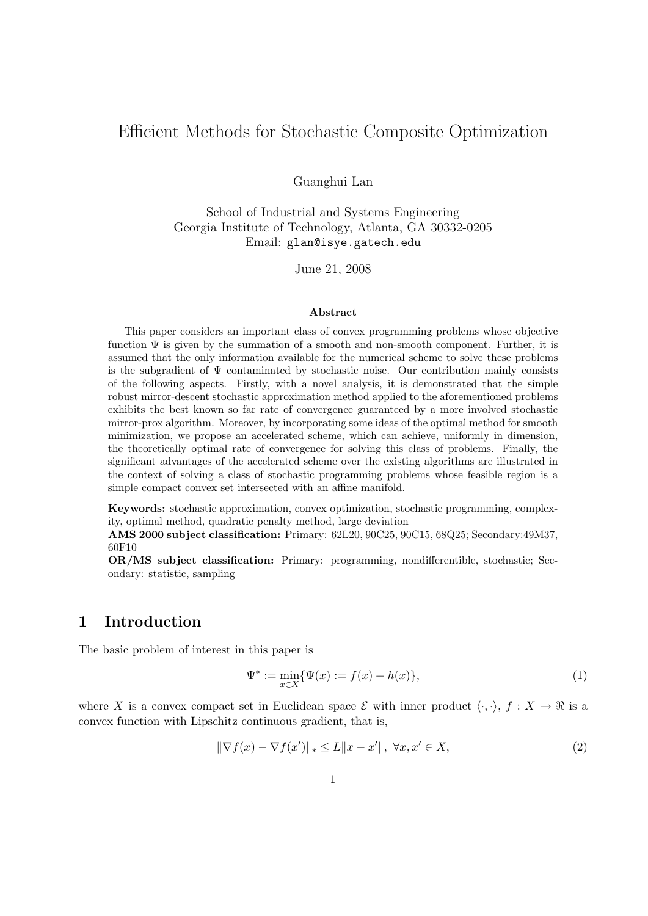# Efficient Methods for Stochastic Composite Optimization

Guanghui Lan

School of Industrial and Systems Engineering Georgia Institute of Technology, Atlanta, GA 30332-0205 Email: glan@isye.gatech.edu

June 21, 2008

#### Abstract

This paper considers an important class of convex programming problems whose objective function  $\Psi$  is given by the summation of a smooth and non-smooth component. Further, it is assumed that the only information available for the numerical scheme to solve these problems is the subgradient of  $\Psi$  contaminated by stochastic noise. Our contribution mainly consists of the following aspects. Firstly, with a novel analysis, it is demonstrated that the simple robust mirror-descent stochastic approximation method applied to the aforementioned problems exhibits the best known so far rate of convergence guaranteed by a more involved stochastic mirror-prox algorithm. Moreover, by incorporating some ideas of the optimal method for smooth minimization, we propose an accelerated scheme, which can achieve, uniformly in dimension, the theoretically optimal rate of convergence for solving this class of problems. Finally, the significant advantages of the accelerated scheme over the existing algorithms are illustrated in the context of solving a class of stochastic programming problems whose feasible region is a simple compact convex set intersected with an affine manifold.

Keywords: stochastic approximation, convex optimization, stochastic programming, complexity, optimal method, quadratic penalty method, large deviation

AMS 2000 subject classification: Primary: 62L20, 90C25, 90C15, 68Q25; Secondary:49M37, 60F10

OR/MS subject classification: Primary: programming, nondifferentible, stochastic; Secondary: statistic, sampling

### 1 Introduction

The basic problem of interest in this paper is

$$
\Psi^* := \min_{x \in X} \{ \Psi(x) := f(x) + h(x) \},\tag{1}
$$

where X is a convex compact set in Euclidean space  $\mathcal E$  with inner product  $\langle \cdot, \cdot \rangle$ ,  $f : X \to \mathbb R$  is a convex function with Lipschitz continuous gradient, that is,

$$
\|\nabla f(x) - \nabla f(x')\|_{*} \le L\|x - x'\|, \ \forall x, x' \in X,
$$
\n<sup>(2)</sup>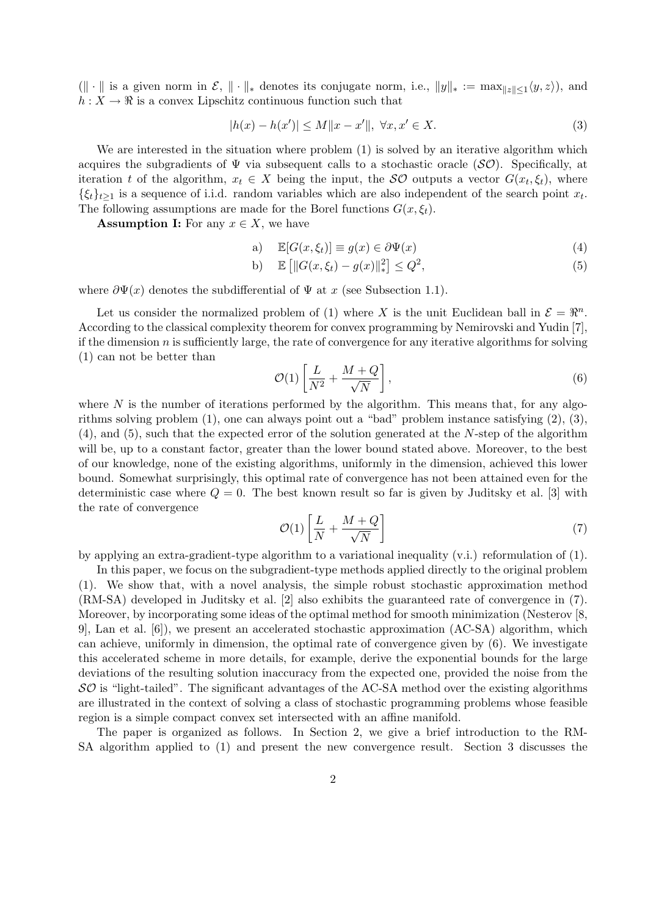$(\Vert \cdot \Vert \text{ is a given norm in } \mathcal{E}, \Vert \cdot \Vert_*,$  denotes its conjugate norm, i.e.,  $||y||_* := \max_{||z|| \leq 1} \langle y, z \rangle$ , and  $h: X \to \mathbb{R}$  is a convex Lipschitz continuous function such that

$$
|h(x) - h(x')| \le M \|x - x'\|, \ \forall x, x' \in X.
$$
 (3)

We are interested in the situation where problem  $(1)$  is solved by an iterative algorithm which acquires the subgradients of  $\Psi$  via subsequent calls to a stochastic oracle ( $\mathcal{SO}$ ). Specifically, at iteration t of the algorithm,  $x_t \in X$  being the input, the  $\mathcal{SO}$  outputs a vector  $G(x_t, \xi_t)$ , where  $\{\xi_t\}_{t\geq 1}$  is a sequence of i.i.d. random variables which are also independent of the search point  $x_t$ . The following assumptions are made for the Borel functions  $G(x, \xi_t)$ .

**Assumption I:** For any  $x \in X$ , we have

a) 
$$
\mathbb{E}[G(x,\xi_t)] \equiv g(x) \in \partial \Psi(x)
$$
 (4)

b) 
$$
\mathbb{E} [||G(x, \xi_t) - g(x)||_*^2] \le Q^2,
$$
 (5)

where  $\partial \Psi(x)$  denotes the subdifferential of  $\Psi$  at x (see Subsection 1.1).

Let us consider the normalized problem of (1) where X is the unit Euclidean ball in  $\mathcal{E} = \mathbb{R}^n$ . According to the classical complexity theorem for convex programming by Nemirovski and Yudin [7], if the dimension  $n$  is sufficiently large, the rate of convergence for any iterative algorithms for solving (1) can not be better than

$$
\mathcal{O}(1)\left[\frac{L}{N^2} + \frac{M+Q}{\sqrt{N}}\right],\tag{6}
$$

where  $N$  is the number of iterations performed by the algorithm. This means that, for any algorithms solving problem (1), one can always point out a "bad" problem instance satisfying (2), (3),  $(4)$ , and  $(5)$ , such that the expected error of the solution generated at the N-step of the algorithm will be, up to a constant factor, greater than the lower bound stated above. Moreover, to the best of our knowledge, none of the existing algorithms, uniformly in the dimension, achieved this lower bound. Somewhat surprisingly, this optimal rate of convergence has not been attained even for the deterministic case where  $Q = 0$ . The best known result so far is given by Juditsky et al. [3] with the rate of convergence

$$
\mathcal{O}(1)\left[\frac{L}{N} + \frac{M+Q}{\sqrt{N}}\right] \tag{7}
$$

by applying an extra-gradient-type algorithm to a variational inequality (v.i.) reformulation of (1).

In this paper, we focus on the subgradient-type methods applied directly to the original problem (1). We show that, with a novel analysis, the simple robust stochastic approximation method (RM-SA) developed in Juditsky et al. [2] also exhibits the guaranteed rate of convergence in (7). Moreover, by incorporating some ideas of the optimal method for smooth minimization (Nesterov [8, 9], Lan et al. [6]), we present an accelerated stochastic approximation (AC-SA) algorithm, which can achieve, uniformly in dimension, the optimal rate of convergence given by (6). We investigate this accelerated scheme in more details, for example, derive the exponential bounds for the large deviations of the resulting solution inaccuracy from the expected one, provided the noise from the  $SO$  is "light-tailed". The significant advantages of the AC-SA method over the existing algorithms are illustrated in the context of solving a class of stochastic programming problems whose feasible region is a simple compact convex set intersected with an affine manifold.

The paper is organized as follows. In Section 2, we give a brief introduction to the RM-SA algorithm applied to (1) and present the new convergence result. Section 3 discusses the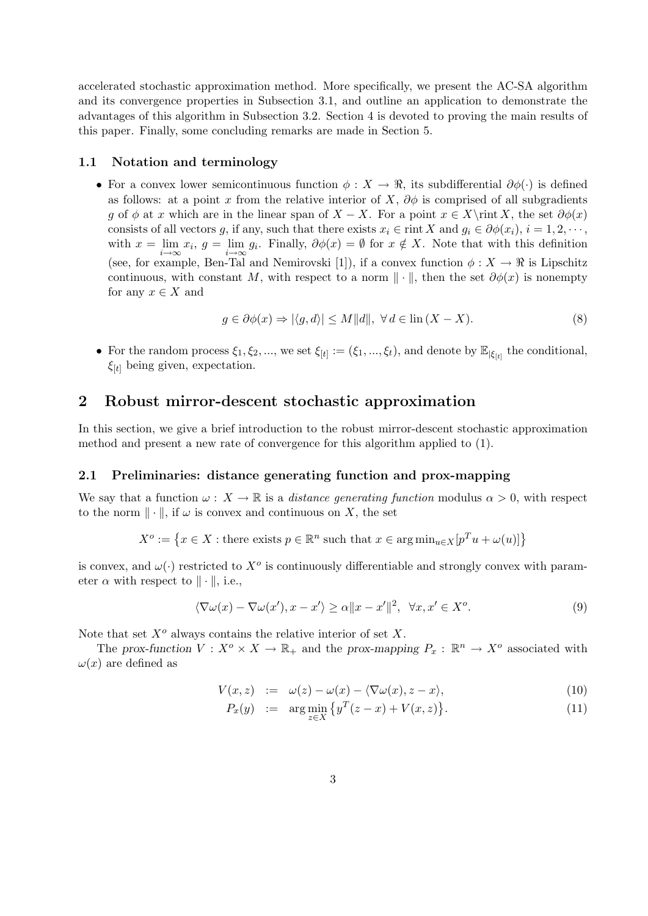accelerated stochastic approximation method. More specifically, we present the AC-SA algorithm and its convergence properties in Subsection 3.1, and outline an application to demonstrate the advantages of this algorithm in Subsection 3.2. Section 4 is devoted to proving the main results of this paper. Finally, some concluding remarks are made in Section 5.

#### 1.1 Notation and terminology

• For a convex lower semicontinuous function  $\phi: X \to \mathbb{R}$ , its subdifferential  $\partial \phi(\cdot)$  is defined as follows: at a point x from the relative interior of X,  $\partial \phi$  is comprised of all subgradients g of  $\phi$  at x which are in the linear span of  $X - X$ . For a point  $x \in X\$ rint X, the set  $\partial \phi(x)$ consists of all vectors g, if any, such that there exists  $x_i \in \text{rint } X$  and  $g_i \in \partial \phi(x_i)$ ,  $i = 1, 2, \dots$ , with  $x = \lim_{i \to \infty} x_i$ ,  $g = \lim_{i \to \infty} g_i$ . Finally,  $\partial \phi(x) = \emptyset$  for  $x \notin X$ . Note that with this definition (see, for example, Ben-Tal and Nemirovski [1]), if a convex function  $\phi: X \to \mathbb{R}$  is Lipschitz continuous, with constant M, with respect to a norm  $\|\cdot\|$ , then the set  $\partial \phi(x)$  is nonempty for any  $x \in X$  and

$$
g \in \partial \phi(x) \Rightarrow |\langle g, d \rangle| \le M \|d\|, \ \forall \, d \in \text{lin}(X - X). \tag{8}
$$

• For the random process  $\xi_1, \xi_2, ...,$  we set  $\xi_{[t]} := (\xi_1, ..., \xi_t)$ , and denote by  $\mathbb{E}_{|\xi_{[t]}}$  the conditional,  $\xi_{[t]}$  being given, expectation.

### 2 Robust mirror-descent stochastic approximation

In this section, we give a brief introduction to the robust mirror-descent stochastic approximation method and present a new rate of convergence for this algorithm applied to (1).

#### 2.1 Preliminaries: distance generating function and prox-mapping

We say that a function  $\omega: X \to \mathbb{R}$  is a *distance generating function* modulus  $\alpha > 0$ , with respect to the norm  $\|\cdot\|$ , if  $\omega$  is convex and continuous on X, the set

$$
X^{o} := \{ x \in X : \text{there exists } p \in \mathbb{R}^{n} \text{ such that } x \in \arg\min_{u \in X} [p^{T}u + \omega(u)] \}
$$

is convex, and  $\omega(\cdot)$  restricted to  $X^o$  is continuously differentiable and strongly convex with parameter  $\alpha$  with respect to  $\|\cdot\|$ , i.e.,

$$
\langle \nabla \omega(x) - \nabla \omega(x'), x - x' \rangle \ge \alpha \|x - x'\|^2, \ \forall x, x' \in X^o.
$$
 (9)

Note that set  $X^o$  always contains the relative interior of set X.

The prox-function  $V: X^o \times X \to \mathbb{R}_+$  and the prox-mapping  $P_x: \mathbb{R}^n \to X^o$  associated with  $\omega(x)$  are defined as

$$
V(x, z) := \omega(z) - \omega(x) - \langle \nabla \omega(x), z - x \rangle,
$$
\n(10)

$$
P_x(y) := \arg\min_{z \in X} \{ y^T(z - x) + V(x, z) \}.
$$
 (11)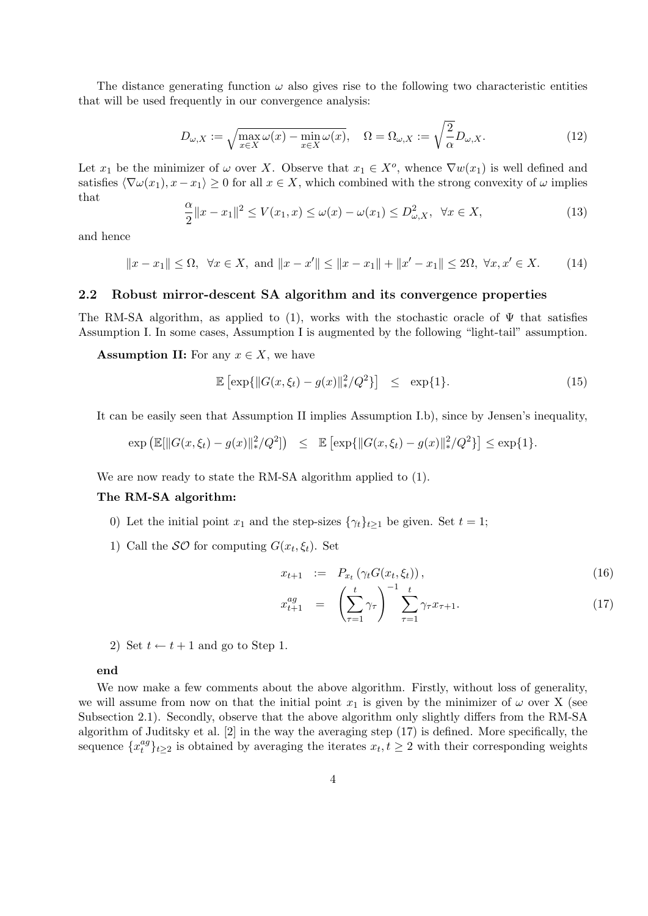The distance generating function  $\omega$  also gives rise to the following two characteristic entities that will be used frequently in our convergence analysis:

$$
D_{\omega,X} := \sqrt{\max_{x \in X} \omega(x) - \min_{x \in X} \omega(x)}, \quad \Omega = \Omega_{\omega,X} := \sqrt{\frac{2}{\alpha}} D_{\omega,X}.
$$
 (12)

Let  $x_1$  be the minimizer of  $\omega$  over X. Observe that  $x_1 \in X^o$ , whence  $\nabla w(x_1)$  is well defined and satisfies  $\langle \nabla \omega(x_1), x - x_1 \rangle \geq 0$  for all  $x \in X$ , which combined with the strong convexity of  $\omega$  implies that

$$
\frac{\alpha}{2}||x - x_1||^2 \le V(x_1, x) \le \omega(x) - \omega(x_1) \le D_{\omega, X}^2, \quad \forall x \in X,\tag{13}
$$

and hence

$$
||x - x_1|| \le \Omega, \quad \forall x \in X, \text{ and } ||x - x'|| \le ||x - x_1|| + ||x' - x_1|| \le 2\Omega, \quad \forall x, x' \in X. \tag{14}
$$

#### 2.2 Robust mirror-descent SA algorithm and its convergence properties

The RM-SA algorithm, as applied to (1), works with the stochastic oracle of  $\Psi$  that satisfies Assumption I. In some cases, Assumption I is augmented by the following "light-tail" assumption.

**Assumption II:** For any  $x \in X$ , we have

$$
\mathbb{E}\left[\exp\{\|G(x,\xi_t) - g(x)\|_{*}^{2}/Q^2\}\right] \leq \exp\{1\}.
$$
 (15)

It can be easily seen that Assumption II implies Assumption I.b), since by Jensen's inequality,

$$
\exp\left(\mathbb{E}[\|G(x,\xi_t) - g(x)\|_*^2/Q^2]\right) \leq \mathbb{E}\left[\exp\{\|G(x,\xi_t) - g(x)\|_*^2/Q^2\}\right] \leq \exp\{1\}.
$$

We are now ready to state the RM-SA algorithm applied to  $(1)$ .

#### The RM-SA algorithm:

- 0) Let the initial point  $x_1$  and the step-sizes  $\{\gamma_t\}_{t>1}$  be given. Set  $t = 1$ ;
- 1) Call the  $\mathcal{SO}$  for computing  $G(x_t, \xi_t)$ . Set

$$
x_{t+1} := P_{x_t} \left( \gamma_t G(x_t, \xi_t) \right), \tag{16}
$$

$$
x_{t+1}^{ag} = \left(\sum_{\tau=1}^{t} \gamma_{\tau}\right)^{-1} \sum_{\tau=1}^{t} \gamma_{\tau} x_{\tau+1}.
$$
 (17)

2) Set  $t \leftarrow t + 1$  and go to Step 1.

#### end

We now make a few comments about the above algorithm. Firstly, without loss of generality, we will assume from now on that the initial point  $x_1$  is given by the minimizer of  $\omega$  over X (see Subsection 2.1). Secondly, observe that the above algorithm only slightly differs from the RM-SA algorithm of Juditsky et al. [2] in the way the averaging step (17) is defined. More specifically, the sequence  $\{x_t^{ag}$  $\{e^{ag}_t\}_{t\geq 2}$  is obtained by averaging the iterates  $x_t, t \geq 2$  with their corresponding weights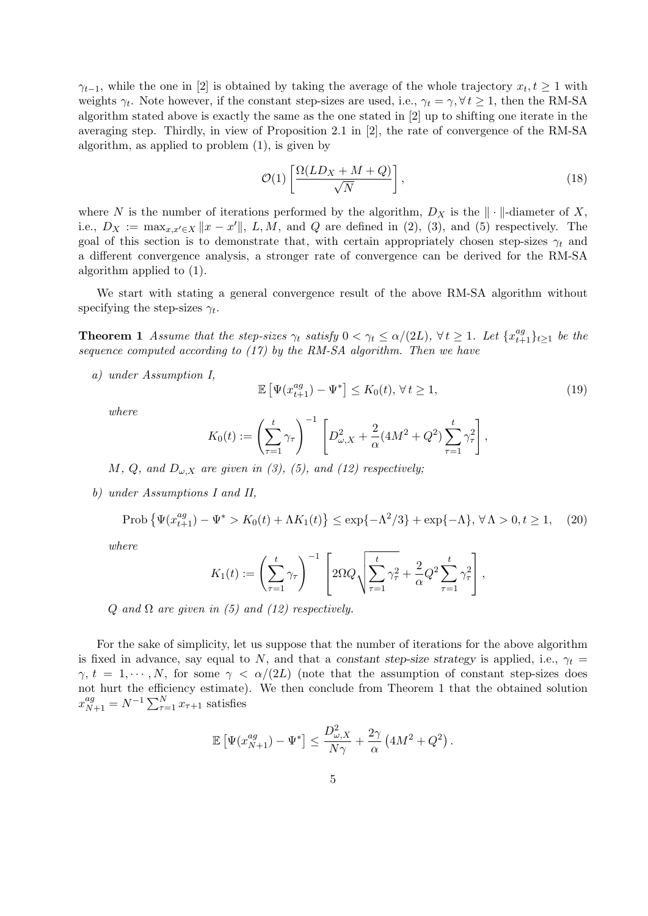$\gamma_{t-1}$ , while the one in [2] is obtained by taking the average of the whole trajectory  $x_t, t \geq 1$  with weights  $\gamma_t$ . Note however, if the constant step-sizes are used, i.e.,  $\gamma_t = \gamma$ ,  $\forall t \ge 1$ , then the RM-SA algorithm stated above is exactly the same as the one stated in [2] up to shifting one iterate in the averaging step. Thirdly, in view of Proposition 2.1 in [2], the rate of convergence of the RM-SA algorithm, as applied to problem (1), is given by

$$
\mathcal{O}(1)\left[\frac{\Omega(LD_X + M + Q)}{\sqrt{N}}\right],\tag{18}
$$

where N is the number of iterations performed by the algorithm,  $D_X$  is the  $\|\cdot\|$ -diameter of X, i.e.,  $D_X := \max_{x,x'\in X} ||x-x'||$ ,  $L, M$ , and  $Q$  are defined in (2), (3), and (5) respectively. The goal of this section is to demonstrate that, with certain appropriately chosen step-sizes  $\gamma_t$  and a different convergence analysis, a stronger rate of convergence can be derived for the RM-SA algorithm applied to (1).

We start with stating a general convergence result of the above RM-SA algorithm without specifying the step-sizes  $\gamma_t$ .

**Theorem 1** Assume that the step-sizes  $\gamma_t$  satisfy  $0 < \gamma_t \leq \alpha/(2L)$ ,  $\forall t \geq 1$ . Let  $\{x_{t+1}^{ag}\}_{t\geq 1}$  be the sequence computed according to (17) by the RM-SA algorithm. Then we have

a) under Assumption I,

$$
\mathbb{E}\left[\Psi(x_{t+1}^{ag}) - \Psi^*\right] \le K_0(t), \forall t \ge 1,
$$
\n(19)

where

$$
K_0(t) := \left(\sum_{\tau=1}^t \gamma_\tau\right)^{-1} \left[D_{\omega,X}^2 + \frac{2}{\alpha}(4M^2 + Q^2) \sum_{\tau=1}^t \gamma_\tau^2\right],
$$

M, Q, and  $D_{\omega,X}$  are given in (3), (5), and (12) respectively;

b) under Assumptions I and II,

$$
\text{Prob}\left\{\Psi(x_{t+1}^{ag}) - \Psi^* > K_0(t) + \Lambda K_1(t)\right\} \le \exp\{-\Lambda^2/3\} + \exp\{-\Lambda\}, \,\forall \Lambda > 0, t \ge 1,\tag{20}
$$

where

$$
K_1(t) := \left(\sum_{\tau=1}^t \gamma_\tau\right)^{-1} \left[2\Omega Q \sqrt{\sum_{\tau=1}^t \gamma_\tau^2} + \frac{2}{\alpha} Q^2 \sum_{\tau=1}^t \gamma_\tau^2\right],
$$

Q and  $\Omega$  are given in (5) and (12) respectively.

For the sake of simplicity, let us suppose that the number of iterations for the above algorithm is fixed in advance, say equal to N, and that a constant step-size strategy is applied, i.e.,  $\gamma_t$  =  $\gamma, t = 1, \dots, N$ , for some  $\gamma < \alpha/(2L)$  (note that the assumption of constant step-sizes does not hurt the efficiency estimate). We then conclude from Theorem 1 that the obtained solution  $x_{N+1}^{ag} = N^{-1} \sum_{\tau=1}^{N} x_{\tau+1}$  satisfies

$$
\mathbb{E}\left[\Psi(x_{N+1}^{ag})-\Psi^*\right] \leq \frac{D_{\omega,X}^2}{N\gamma}+\frac{2\gamma}{\alpha}\left(4M^2+Q^2\right).
$$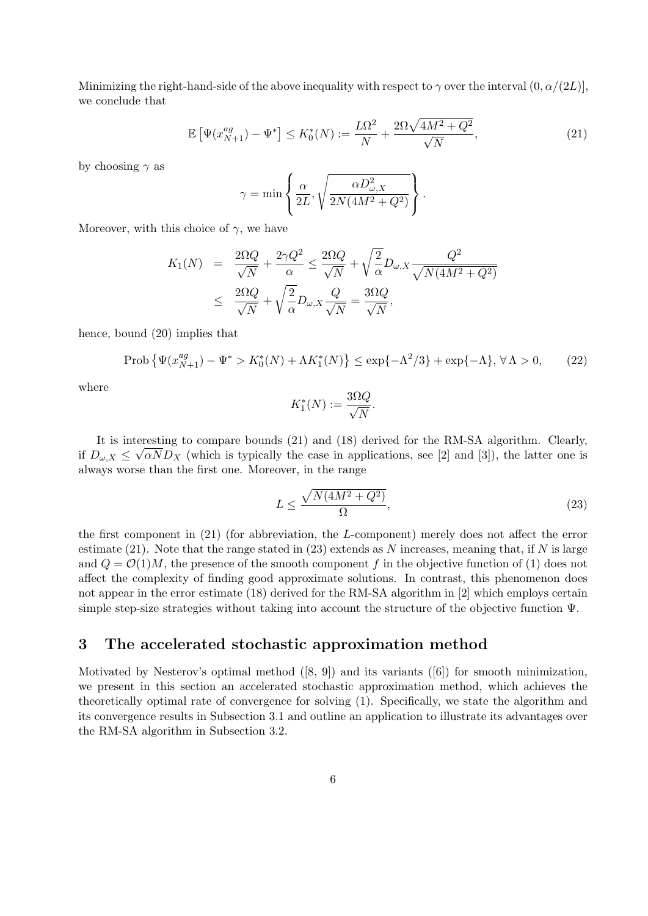Minimizing the right-hand-side of the above inequality with respect to  $\gamma$  over the interval  $(0, \alpha/(2L))$ , we conclude that

$$
\mathbb{E}\left[\Psi(x_{N+1}^{ag}) - \Psi^*\right] \le K_0^*(N) := \frac{L\Omega^2}{N} + \frac{2\Omega\sqrt{4M^2 + Q^2}}{\sqrt{N}},\tag{21}
$$

by choosing  $\gamma$  as

$$
\gamma = \min \left\{ \frac{\alpha}{2L}, \sqrt{\frac{\alpha D_{\omega,X}^2}{2N(4M^2 + Q^2)}} \right\}.
$$

Moreover, with this choice of  $\gamma$ , we have

$$
K_1(N) = \frac{2\Omega Q}{\sqrt{N}} + \frac{2\gamma Q^2}{\alpha} \le \frac{2\Omega Q}{\sqrt{N}} + \sqrt{\frac{2}{\alpha}} D_{\omega, X} \frac{Q^2}{\sqrt{N(4M^2 + Q^2)}}
$$
  

$$
\le \frac{2\Omega Q}{\sqrt{N}} + \sqrt{\frac{2}{\alpha}} D_{\omega, X} \frac{Q}{\sqrt{N}} = \frac{3\Omega Q}{\sqrt{N}},
$$

hence, bound (20) implies that

$$
\text{Prob}\left\{\Psi(x_{N+1}^{ag}) - \Psi^* > K_0^*(N) + \Lambda K_1^*(N)\right\} \le \exp\{-\Lambda^2/3\} + \exp\{-\Lambda\}, \,\forall \,\Lambda > 0,\tag{22}
$$

where

$$
K_1^*(N) := \frac{3\Omega Q}{\sqrt{N}}.
$$

It is interesting to compare bounds  $(21)$  and  $(18)$  derived for the RM-SA algorithm. Clearly, if  $D_{\omega,X} \leq \sqrt{\alpha N} D_X$  (which is typically the case in applications, see [2] and [3]), the latter one is always worse than the first one. Moreover, in the range

$$
L \le \frac{\sqrt{N(4M^2 + Q^2)}}{\Omega},\tag{23}
$$

the first component in (21) (for abbreviation, the L-component) merely does not affect the error estimate (21). Note that the range stated in (23) extends as N increases, meaning that, if N is large and  $Q = \mathcal{O}(1)M$ , the presence of the smooth component f in the objective function of (1) does not affect the complexity of finding good approximate solutions. In contrast, this phenomenon does not appear in the error estimate (18) derived for the RM-SA algorithm in [2] which employs certain simple step-size strategies without taking into account the structure of the objective function Ψ.

### 3 The accelerated stochastic approximation method

Motivated by Nesterov's optimal method ([8, 9]) and its variants ([6]) for smooth minimization, we present in this section an accelerated stochastic approximation method, which achieves the theoretically optimal rate of convergence for solving (1). Specifically, we state the algorithm and its convergence results in Subsection 3.1 and outline an application to illustrate its advantages over the RM-SA algorithm in Subsection 3.2.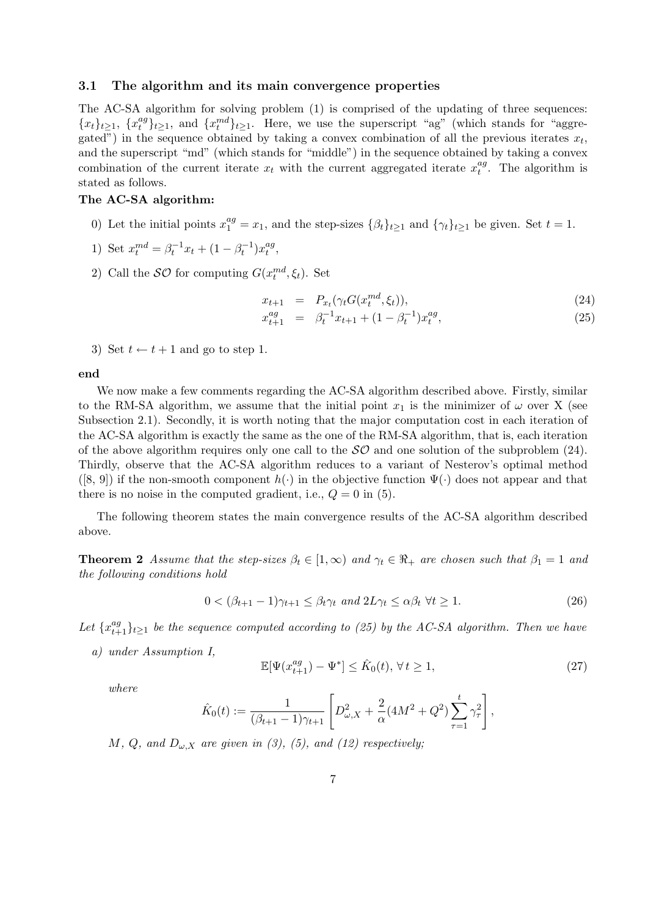#### 3.1 The algorithm and its main convergence properties

The AC-SA algorithm for solving problem (1) is comprised of the updating of three sequences:  ${x_t}_{t\geq 1}$ ,  ${x_t^{ag}}$  $\{x_t^{ng}\}_{t\geq 1}$ , and  $\{x_t^{md}\}_{t\geq 1}$ . Here, we use the superscript "ag" (which stands for "aggregated") in the sequence obtained by taking a convex combination of all the previous iterates  $x_t$ , and the superscript "md" (which stands for "middle") in the sequence obtained by taking a convex combination of the current iterate  $x_t$  with the current aggregated iterate  $x_t^{ag}$  $t^{ag}_{t}$ . The algorithm is stated as follows.

### The AC-SA algorithm:

- 0) Let the initial points  $x_1^{ag} = x_1$ , and the step-sizes  $\{\beta_t\}_{t\geq 1}$  and  $\{\gamma_t\}_{t\geq 1}$  be given. Set  $t = 1$ .
- 1) Set  $x_t^{md} = \beta_t^{-1} x_t + (1 \beta_t^{-1}) x_t^{ag}$  $_{t}^{ag},$
- 2) Call the  $\mathcal{SO}$  for computing  $G(x_t^{md}, \xi_t)$ . Set

$$
x_{t+1} = P_{x_t}(\gamma_t G(x_t^{md}, \xi_t)), \qquad (24)
$$

$$
x_{t+1}^{ag} = \beta_t^{-1} x_{t+1} + (1 - \beta_t^{-1}) x_t^{ag}, \qquad (25)
$$

3) Set  $t \leftarrow t + 1$  and go to step 1.

end

We now make a few comments regarding the AC-SA algorithm described above. Firstly, similar to the RM-SA algorithm, we assume that the initial point  $x_1$  is the minimizer of  $\omega$  over X (see Subsection 2.1). Secondly, it is worth noting that the major computation cost in each iteration of the AC-SA algorithm is exactly the same as the one of the RM-SA algorithm, that is, each iteration of the above algorithm requires only one call to the  $\mathcal{SO}$  and one solution of the subproblem (24). Thirdly, observe that the AC-SA algorithm reduces to a variant of Nesterov's optimal method  $([8, 9])$  if the non-smooth component  $h(\cdot)$  in the objective function  $\Psi(\cdot)$  does not appear and that there is no noise in the computed gradient, i.e.,  $Q = 0$  in (5).

The following theorem states the main convergence results of the AC-SA algorithm described above.

**Theorem 2** Assume that the step-sizes  $\beta_t \in [1,\infty)$  and  $\gamma_t \in \Re$  are chosen such that  $\beta_1 = 1$  and the following conditions hold

$$
0 < (\beta_{t+1} - 1)\gamma_{t+1} \le \beta_t \gamma_t \text{ and } 2L\gamma_t \le \alpha \beta_t \ \forall t \ge 1. \tag{26}
$$

Let  $\{x_{t+1}^{ag}\}_{t\geq 1}$  be the sequence computed according to (25) by the AC-SA algorithm. Then we have

a) under Assumption I,

$$
\mathbb{E}[\Psi(x_{t+1}^{ag}) - \Psi^*] \le \hat{K}_0(t), \forall t \ge 1,
$$
\n
$$
(27)
$$

where

$$
\hat{K}_0(t) := \frac{1}{(\beta_{t+1} - 1)\gamma_{t+1}} \left[ D_{\omega, X}^2 + \frac{2}{\alpha} (4M^2 + Q^2) \sum_{\tau=1}^t \gamma_\tau^2 \right],
$$

M, Q, and  $D_{\omega, X}$  are given in (3), (5), and (12) respectively;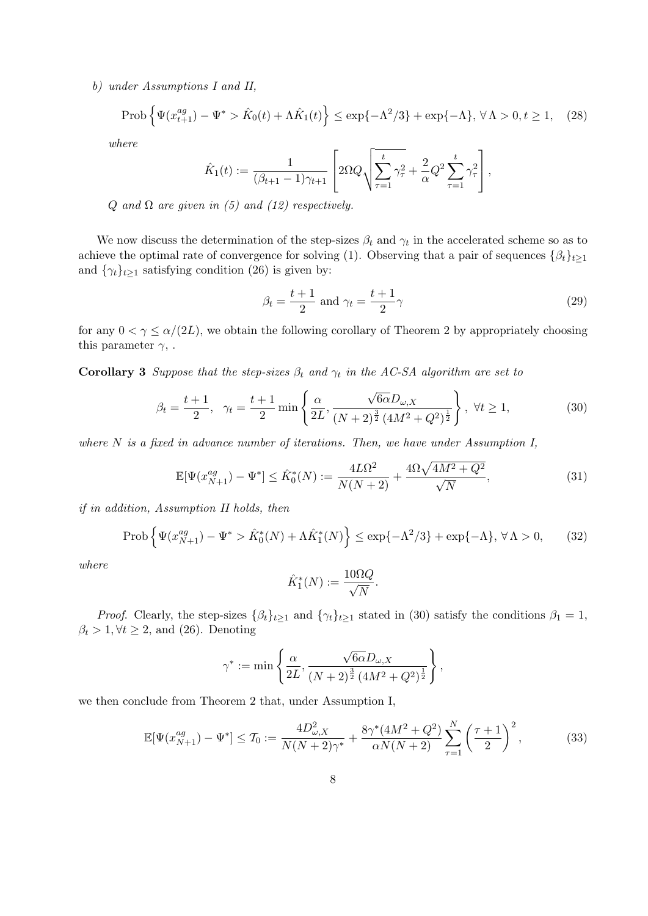b) under Assumptions I and II,

$$
\text{Prob}\left\{\Psi(x_{t+1}^{ag}) - \Psi^* > \hat{K}_0(t) + \Lambda \hat{K}_1(t)\right\} \le \exp\{-\Lambda^2/3\} + \exp\{-\Lambda\}, \,\forall \,\Lambda > 0, t \ge 1,\tag{28}
$$

where

$$
\hat{K}_1(t) := \frac{1}{(\beta_{t+1} - 1)\gamma_{t+1}} \left[ 2\Omega Q \sqrt{\sum_{\tau=1}^t \gamma_{\tau}^2 + \frac{2}{\alpha} Q^2 \sum_{\tau=1}^t \gamma_{\tau}^2} \right],
$$

Q and  $\Omega$  are given in (5) and (12) respectively.

We now discuss the determination of the step-sizes  $\beta_t$  and  $\gamma_t$  in the accelerated scheme so as to achieve the optimal rate of convergence for solving (1). Observing that a pair of sequences  $\{\beta_t\}_{t\geq 1}$ and  $\{\gamma_t\}_{t\geq 1}$  satisfying condition (26) is given by:

$$
\beta_t = \frac{t+1}{2} \text{ and } \gamma_t = \frac{t+1}{2}\gamma \tag{29}
$$

for any  $0 < \gamma \leq \alpha/(2L)$ , we obtain the following corollary of Theorem 2 by appropriately choosing this parameter  $\gamma$ , .

**Corollary 3** Suppose that the step-sizes  $\beta_t$  and  $\gamma_t$  in the AC-SA algorithm are set to

$$
\beta_t = \frac{t+1}{2}, \quad \gamma_t = \frac{t+1}{2} \min \left\{ \frac{\alpha}{2L}, \frac{\sqrt{6\alpha}D_{\omega,X}}{(N+2)^{\frac{3}{2}}(4M^2+Q^2)^{\frac{1}{2}}} \right\}, \ \forall t \ge 1,
$$
\n(30)

where  $N$  is a fixed in advance number of iterations. Then, we have under Assumption I,

$$
\mathbb{E}[\Psi(x_{N+1}^{ag}) - \Psi^*] \le \hat{K}_0^*(N) := \frac{4L\Omega^2}{N(N+2)} + \frac{4\Omega\sqrt{4M^2 + Q^2}}{\sqrt{N}},\tag{31}
$$

if in addition, Assumption II holds, then

$$
\text{Prob}\left\{\Psi(x_{N+1}^{ag}) - \Psi^* > \hat{K}_0^*(N) + \Lambda \hat{K}_1^*(N)\right\} \le \exp\{-\Lambda^2/3\} + \exp\{-\Lambda\}, \forall \Lambda > 0,\tag{32}
$$

where

$$
\hat{K}_1^*(N) := \frac{10\Omega Q}{\sqrt{N}}.
$$

*Proof.* Clearly, the step-sizes  $\{\beta_t\}_{t\geq 1}$  and  $\{\gamma_t\}_{t\geq 1}$  stated in (30) satisfy the conditions  $\beta_1 = 1$ ,  $\beta_t > 1, \forall t \geq 2$ , and (26). Denoting

$$
\gamma^*:=\min\left\{\frac{\alpha}{2L},\frac{\sqrt{6\alpha}D_{\omega,X}}{(N+2)^{\frac{3}{2}}\left(4M^2+Q^2\right)^{\frac{1}{2}}}\right\},
$$

we then conclude from Theorem 2 that, under Assumption I,

$$
\mathbb{E}[\Psi(x_{N+1}^{ag}) - \Psi^*] \le T_0 := \frac{4D_{\omega,X}^2}{N(N+2)\gamma^*} + \frac{8\gamma^*(4M^2 + Q^2)}{\alpha N(N+2)} \sum_{\tau=1}^N \left(\frac{\tau+1}{2}\right)^2,\tag{33}
$$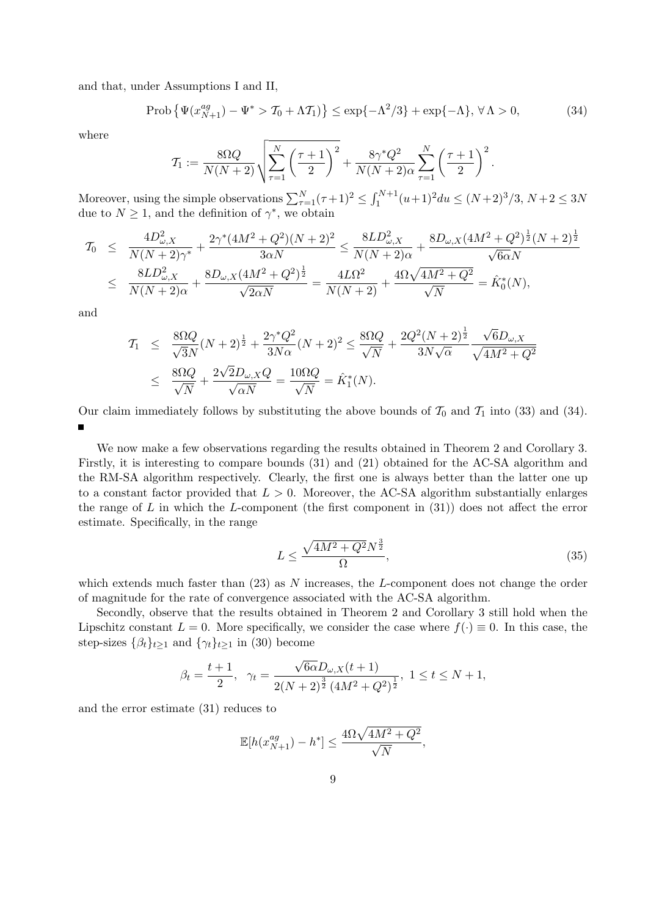and that, under Assumptions I and II,

$$
\text{Prob}\left\{\Psi(x_{N+1}^{ag}) - \Psi^* > \mathcal{T}_0 + \Lambda \mathcal{T}_1\right\} \le \exp\{-\Lambda^2/3\} + \exp\{-\Lambda\}, \forall \Lambda > 0,\tag{34}
$$

where

$$
\mathcal{T}_1 := \frac{8\Omega Q}{N(N+2)} \sqrt{\sum_{\tau=1}^N \left(\frac{\tau+1}{2}\right)^2} + \frac{8\gamma^* Q^2}{N(N+2)\alpha} \sum_{\tau=1}^N \left(\frac{\tau+1}{2}\right)^2.
$$

Moreover, using the simple observations  $\sum_{\tau=1}^{N}(\tau+1)^2 \leq \int_{1}^{N+1}(u+1)^2 du \leq (N+2)^3/3$ ,  $N+2 \leq 3N$ due to  $N \geq 1$ , and the definition of  $\gamma^*$ , we obtain

$$
T_0 \leq \frac{4D_{\omega,X}^2}{N(N+2)\gamma^*} + \frac{2\gamma^*(4M^2+Q^2)(N+2)^2}{3\alpha N} \leq \frac{8LD_{\omega,X}^2}{N(N+2)\alpha} + \frac{8D_{\omega,X}(4M^2+Q^2)^{\frac{1}{2}}(N+2)^{\frac{1}{2}}}{\sqrt{6\alpha}N}
$$
  

$$
\leq \frac{8LD_{\omega,X}^2}{N(N+2)\alpha} + \frac{8D_{\omega,X}(4M^2+Q^2)^{\frac{1}{2}}}{\sqrt{2\alpha N}} = \frac{4L\Omega^2}{N(N+2)} + \frac{4\Omega\sqrt{4M^2+Q^2}}{\sqrt{N}} = \hat{K}_0^*(N),
$$

and

$$
T_1 \leq \frac{8\Omega Q}{\sqrt{3}N}(N+2)^{\frac{1}{2}} + \frac{2\gamma^* Q^2}{3N\alpha}(N+2)^2 \leq \frac{8\Omega Q}{\sqrt{N}} + \frac{2Q^2(N+2)^{\frac{1}{2}}}{3N\sqrt{\alpha}} \frac{\sqrt{6}D_{\omega,X}}{\sqrt{4M^2+Q^2}}
$$
  

$$
\leq \frac{8\Omega Q}{\sqrt{N}} + \frac{2\sqrt{2}D_{\omega,X}Q}{\sqrt{\alpha N}} = \frac{10\Omega Q}{\sqrt{N}} = \hat{K}_1^*(N).
$$

Our claim immediately follows by substituting the above bounds of  $\mathcal{T}_0$  and  $\mathcal{T}_1$  into (33) and (34).

We now make a few observations regarding the results obtained in Theorem 2 and Corollary 3. Firstly, it is interesting to compare bounds (31) and (21) obtained for the AC-SA algorithm and the RM-SA algorithm respectively. Clearly, the first one is always better than the latter one up to a constant factor provided that  $L > 0$ . Moreover, the AC-SA algorithm substantially enlarges the range of L in which the L-component (the first component in  $(31)$ ) does not affect the error estimate. Specifically, in the range

$$
L \le \frac{\sqrt{4M^2 + Q^2} N^{\frac{3}{2}}}{\Omega},\tag{35}
$$

which extends much faster than  $(23)$  as N increases, the L-component does not change the order of magnitude for the rate of convergence associated with the AC-SA algorithm.

Secondly, observe that the results obtained in Theorem 2 and Corollary 3 still hold when the Lipschitz constant  $L = 0$ . More specifically, we consider the case where  $f(\cdot) \equiv 0$ . In this case, the step-sizes  $\{\beta_t\}_{t\geq 1}$  and  $\{\gamma_t\}_{t\geq 1}$  in (30) become

$$
\beta_t = \frac{t+1}{2}, \quad \gamma_t = \frac{\sqrt{6\alpha}D_{\omega,X}(t+1)}{2(N+2)^{\frac{3}{2}}(4M^2+Q^2)^{\frac{1}{2}}}, \quad 1 \le t \le N+1,
$$

and the error estimate (31) reduces to

$$
\mathbb{E}[h(x_{N+1}^{ag}) - h^*] \le \frac{4\Omega\sqrt{4M^2 + Q^2}}{\sqrt{N}},
$$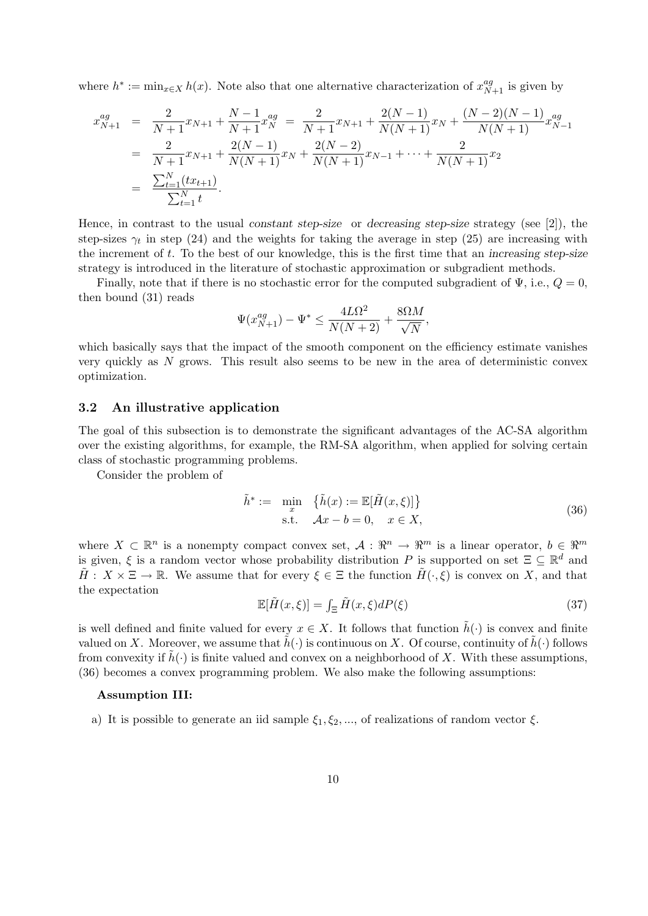where  $h^* := \min_{x \in X} h(x)$ . Note also that one alternative characterization of  $x_{N+1}^{ag}$  is given by

$$
x_{N+1}^{ag} = \frac{2}{N+1}x_{N+1} + \frac{N-1}{N+1}x_N^{ag} = \frac{2}{N+1}x_{N+1} + \frac{2(N-1)}{N(N+1)}x_N + \frac{(N-2)(N-1)}{N(N+1)}x_{N-1}^{ag}
$$
  
= 
$$
\frac{2}{N+1}x_{N+1} + \frac{2(N-1)}{N(N+1)}x_N + \frac{2(N-2)}{N(N+1)}x_{N-1} + \dots + \frac{2}{N(N+1)}x_2
$$
  
= 
$$
\frac{\sum_{t=1}^N (tx_{t+1})}{\sum_{t=1}^N t}.
$$

Hence, in contrast to the usual constant step-size or decreasing step-size strategy (see [2]), the step-sizes  $\gamma_t$  in step (24) and the weights for taking the average in step (25) are increasing with the increment of  $t$ . To the best of our knowledge, this is the first time that an increasing step-size strategy is introduced in the literature of stochastic approximation or subgradient methods.

Finally, note that if there is no stochastic error for the computed subgradient of  $\Psi$ , i.e.,  $Q = 0$ , then bound (31) reads

$$
\Psi(x_{N+1}^{ag}) - \Psi^* \le \frac{4L\Omega^2}{N(N+2)} + \frac{8\Omega M}{\sqrt{N}},
$$

which basically says that the impact of the smooth component on the efficiency estimate vanishes very quickly as N grows. This result also seems to be new in the area of deterministic convex optimization.

#### 3.2 An illustrative application

The goal of this subsection is to demonstrate the significant advantages of the AC-SA algorithm over the existing algorithms, for example, the RM-SA algorithm, when applied for solving certain class of stochastic programming problems.

Consider the problem of

$$
\tilde{h}^* := \min_x \{ \tilde{h}(x) := \mathbb{E}[\tilde{H}(x,\xi)] \}
$$
\n
$$
\text{s.t.} \quad \mathcal{A}x - b = 0, \quad x \in X,
$$
\n
$$
(36)
$$

where  $X \subset \mathbb{R}^n$  is a nonempty compact convex set,  $\mathcal{A}: \mathbb{R}^n \to \mathbb{R}^m$  is a linear operator,  $b \in \mathbb{R}^m$ is given,  $\xi$  is a random vector whose probability distribution P is supported on set  $\Xi \subseteq \mathbb{R}^d$  and  $H: X \times \Xi \to \mathbb{R}$ . We assume that for every  $\xi \in \Xi$  the function  $H(\cdot, \xi)$  is convex on X, and that the expectation

$$
\mathbb{E}[\tilde{H}(x,\xi)] = \int_{\Xi} \tilde{H}(x,\xi) dP(\xi)
$$
\n(37)

is well defined and finite valued for every  $x \in X$ . It follows that function  $\tilde{h}(\cdot)$  is convex and finite valued on X. Moreover, we assume that  $\hat{h}(\cdot)$  is continuous on X. Of course, continuity of  $\hat{h}(\cdot)$  follows from convexity if  $\tilde{h}(\cdot)$  is finite valued and convex on a neighborhood of X. With these assumptions, (36) becomes a convex programming problem. We also make the following assumptions:

#### Assumption III:

a) It is possible to generate an iid sample  $\xi_1, \xi_2, \dots$ , of realizations of random vector  $\xi$ .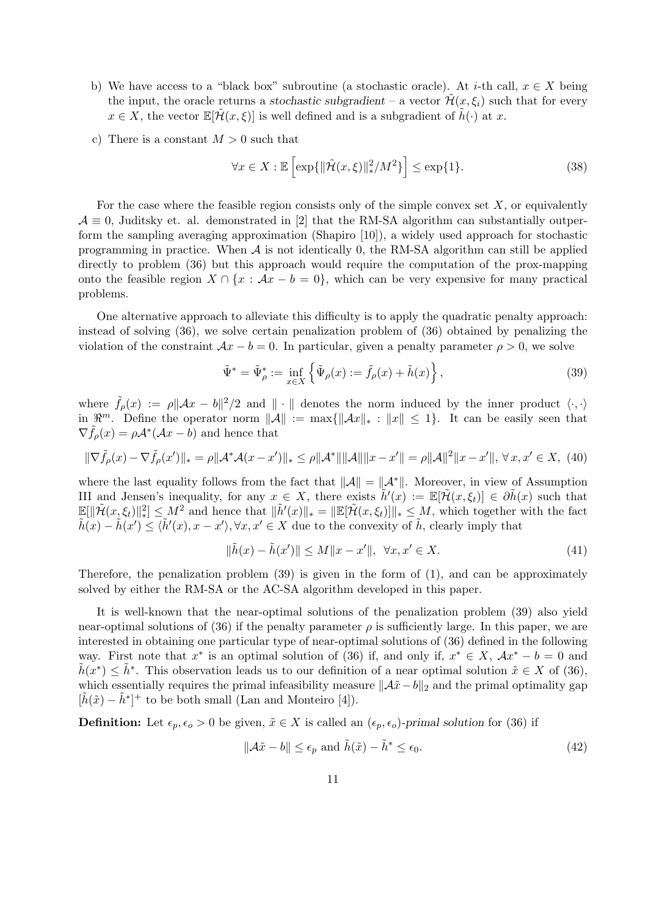- b) We have access to a "black box" subroutine (a stochastic oracle). At *i*-th call,  $x \in X$  being the input, the oracle returns a stochastic subgradient – a vector  $\mathcal{H}(x,\xi_i)$  such that for every  $x \in X$ , the vector  $\mathbb{E}[\tilde{\mathcal{H}}(x,\xi)]$  is well defined and is a subgradient of  $\tilde{h}(\cdot)$  at x.
- c) There is a constant  $M > 0$  such that

$$
\forall x \in X : \mathbb{E}\left[\exp\{\|\tilde{\mathcal{H}}(x,\xi)\|_{*}^{2}/M^{2}\}\right] \le \exp\{1\}.\tag{38}
$$

For the case where the feasible region consists only of the simple convex set  $X$ , or equivalently  $\mathcal{A} \equiv 0$ , Juditsky et. al. demonstrated in [2] that the RM-SA algorithm can substantially outperform the sampling averaging approximation (Shapiro [10]), a widely used approach for stochastic programming in practice. When  $A$  is not identically 0, the RM-SA algorithm can still be applied directly to problem (36) but this approach would require the computation of the prox-mapping onto the feasible region  $X \cap \{x : Ax - b = 0\}$ , which can be very expensive for many practical problems.

One alternative approach to alleviate this difficulty is to apply the quadratic penalty approach: instead of solving (36), we solve certain penalization problem of (36) obtained by penalizing the violation of the constraint  $Ax - b = 0$ . In particular, given a penalty parameter  $\rho > 0$ , we solve

$$
\tilde{\Psi}^* = \tilde{\Psi}^*_{\rho} := \inf_{x \in X} \left\{ \tilde{\Psi}_{\rho}(x) := \tilde{f}_{\rho}(x) + \tilde{h}(x) \right\},\tag{39}
$$

where  $\tilde{f}_{\rho}(x) := \rho ||Ax - b||^2/2$  and  $|| \cdot ||$  denotes the norm induced by the inner product  $\langle \cdot, \cdot \rangle$ in  $\mathbb{R}^m$ . Define the operator norm  $||\mathcal{A}|| := \max{||\mathcal{A}x||_* : ||x|| \leq 1}$ . It can be easily seen that  $\nabla \tilde{f}_{\rho}(x) = \rho \mathcal{A}^*(\mathcal{A}x - b)$  and hence that

$$
\|\nabla \tilde{f}_{\rho}(x) - \nabla \tilde{f}_{\rho}(x')\|_{*} = \rho \|\mathcal{A}^* \mathcal{A}(x - x')\|_{*} \le \rho \|\mathcal{A}^*\| \|\mathcal{A}\| \|x - x'\| = \rho \|\mathcal{A}\|^2 \|x - x'\|, \forall x, x' \in X, (40)
$$

where the last equality follows from the fact that  $\|\mathcal{A}\| = \|\mathcal{A}^*\|$ . Moreover, in view of Assumption III and Jensen's inequality, for any  $x \in X$ , there exists  $\tilde{h}'(x) := \mathbb{E}[\tilde{\mathcal{H}}(x,\xi_t)] \in \partial \tilde{h}(x)$  such that  $\mathbb{E}[\|\tilde{\mathcal{H}}(x,\xi_t)\|_{*}^{2}] \leq M^{2}$  and hence that  $\|\tilde{h}'(x)\|_{*} = \|\mathbb{E}[\tilde{\mathcal{H}}(x,\xi_t)]\|_{*} \leq M$ , which together with the fact  $\tilde{h}(x) - \tilde{h}(x') \leq \langle \tilde{h}'(x), x - x' \rangle, \forall x, x' \in X$  due to the convexity of  $\tilde{h}$ , clearly imply that

$$
\|\tilde{h}(x) - \tilde{h}(x')\| \le M\|x - x'\|, \quad \forall x, x' \in X. \tag{41}
$$

Therefore, the penalization problem (39) is given in the form of (1), and can be approximately solved by either the RM-SA or the AC-SA algorithm developed in this paper.

It is well-known that the near-optimal solutions of the penalization problem (39) also yield near-optimal solutions of (36) if the penalty parameter  $\rho$  is sufficiently large. In this paper, we are interested in obtaining one particular type of near-optimal solutions of (36) defined in the following way. First note that  $x^*$  is an optimal solution of (36) if, and only if,  $x^* \in X$ ,  $Ax^* - b = 0$  and  $\tilde{h}(x^*) \leq \tilde{h}^*$ . This observation leads us to our definition of a near optimal solution  $\tilde{x} \in X$  of (36), which essentially requires the primal infeasibility measure  $\|\mathcal{A}\tilde{x} - b\|_2$  and the primal optimality gap  $[\tilde{h}(\tilde{x}) - \tilde{h}^*]^+$  to be both small (Lan and Monteiro [4]).

**Definition:** Let  $\epsilon_p, \epsilon_o > 0$  be given,  $\tilde{x} \in X$  is called an  $(\epsilon_p, \epsilon_o)$ -primal solution for (36) if

$$
\|\mathcal{A}\tilde{x} - b\| \le \epsilon_p \text{ and } \tilde{h}(\tilde{x}) - \tilde{h}^* \le \epsilon_0. \tag{42}
$$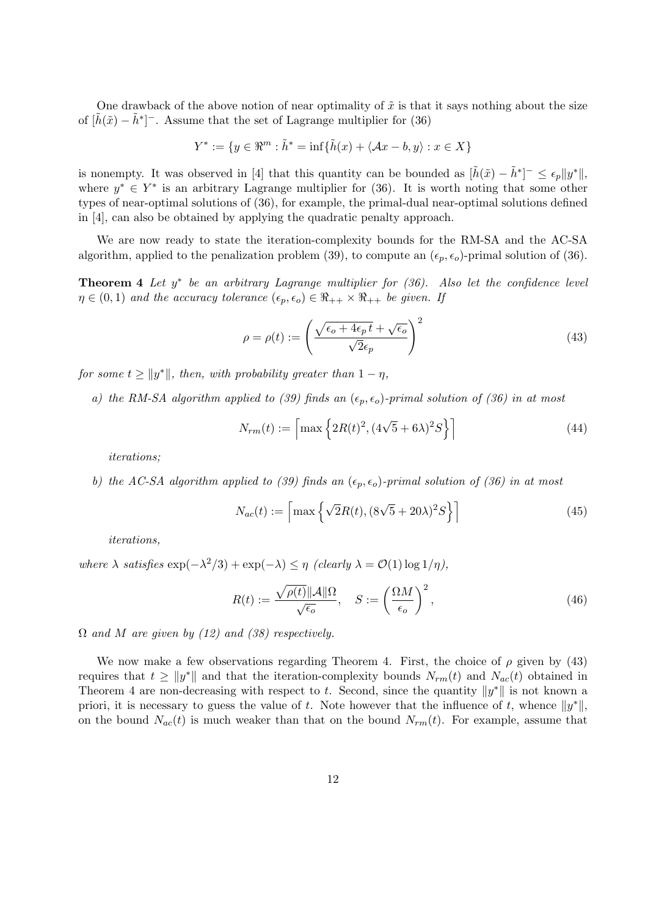One drawback of the above notion of near optimality of  $\tilde{x}$  is that it says nothing about the size of  $[\tilde{h}(\tilde{x}) - \tilde{h}^*]$ <sup>-</sup>. Assume that the set of Lagrange multiplier for (36)

$$
Y^* := \{ y \in \mathbb{R}^m : \tilde{h}^* = \inf \{ \tilde{h}(x) + \langle Ax - b, y \rangle : x \in X \}
$$

is nonempty. It was observed in [4] that this quantity can be bounded as  $[\tilde{h}(\tilde{x}) - \tilde{h}^*]^{-} \leq \epsilon_p ||y^*||$ , where  $y^* \in Y^*$  is an arbitrary Lagrange multiplier for (36). It is worth noting that some other types of near-optimal solutions of (36), for example, the primal-dual near-optimal solutions defined in [4], can also be obtained by applying the quadratic penalty approach.

We are now ready to state the iteration-complexity bounds for the RM-SA and the AC-SA algorithm, applied to the penalization problem (39), to compute an  $(\epsilon_p, \epsilon_o)$ -primal solution of (36).

**Theorem 4** Let  $y^*$  be an arbitrary Lagrange multiplier for  $(36)$ . Also let the confidence level  $\eta \in (0,1)$  and the accuracy tolerance  $(\epsilon_p, \epsilon_o) \in \Re_{++} \times \Re_{++}$  be given. If

$$
\rho = \rho(t) := \left(\frac{\sqrt{\epsilon_o + 4\epsilon_p t} + \sqrt{\epsilon_o}}{\sqrt{2}\epsilon_p}\right)^2\tag{43}
$$

for some  $t \ge ||y^*||$ , then, with probability greater than  $1 - \eta$ ,

a) the RM-SA algorithm applied to (39) finds an  $(\epsilon_p, \epsilon_q)$ -primal solution of (36) in at most

$$
N_{rm}(t) := \left[ \max \left\{ 2R(t)^2, (4\sqrt{5} + 6\lambda)^2 S \right\} \right]
$$
 (44)

iterations;

b) the AC-SA algorithm applied to (39) finds an  $(\epsilon_p, \epsilon_o)$ -primal solution of (36) in at most

$$
N_{ac}(t) := \left\lceil \max\left\{ \sqrt{2}R(t), (8\sqrt{5} + 20\lambda)^2 S \right\} \right\rceil \tag{45}
$$

iterations,

where  $\lambda$  satisfies  $\exp(-\lambda^2/3) + \exp(-\lambda) \leq \eta$  (clearly  $\lambda = \mathcal{O}(1) \log 1/\eta$ ),

$$
R(t) := \frac{\sqrt{\rho(t)} ||\mathcal{A}|| \Omega}{\sqrt{\epsilon_o}}, \quad S := \left(\frac{\Omega M}{\epsilon_o}\right)^2,\tag{46}
$$

 $\Omega$  and M are given by (12) and (38) respectively.

We now make a few observations regarding Theorem 4. First, the choice of  $\rho$  given by (43) requires that  $t \ge ||y^*||$  and that the iteration-complexity bounds  $N_{rm}(t)$  and  $N_{ac}(t)$  obtained in Theorem 4 are non-decreasing with respect to t. Second, since the quantity  $||y^*||$  is not known a priori, it is necessary to guess the value of t. Note however that the influence of t, whence  $||y^*||$ , on the bound  $N_{ac}(t)$  is much weaker than that on the bound  $N_{rm}(t)$ . For example, assume that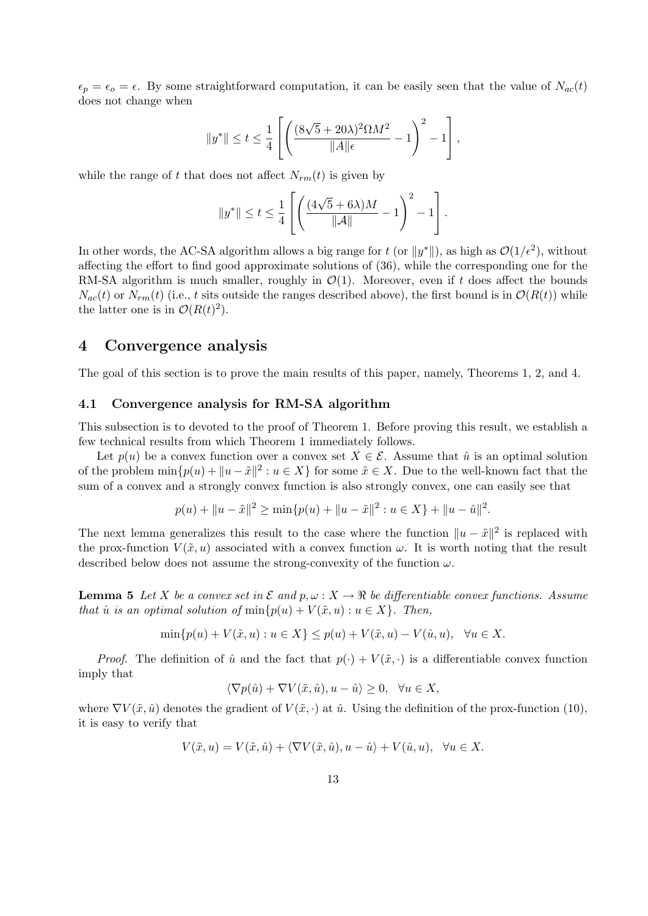$\epsilon_p = \epsilon_o = \epsilon$ . By some straightforward computation, it can be easily seen that the value of  $N_{ac}(t)$ does not change when

$$
\|y^*\| \leq t \leq \frac{1}{4} \left[ \left( \frac{(8\sqrt{5}+20\lambda)^2\Omega M^2}{\|A\|\epsilon} - 1 \right)^2 - 1 \right],
$$

while the range of t that does not affect  $N_{rm}(t)$  is given by

$$
||y^*|| \leq t \leq \frac{1}{4} \left[ \left( \frac{(4\sqrt{5} + 6\lambda)M}{||\mathcal{A}||} - 1 \right)^2 - 1 \right].
$$

In other words, the AC-SA algorithm allows a big range for t (or  $||y^*||$ ), as high as  $\mathcal{O}(1/\epsilon^2)$ , without affecting the effort to find good approximate solutions of (36), while the corresponding one for the RM-SA algorithm is much smaller, roughly in  $\mathcal{O}(1)$ . Moreover, even if t does affect the bounds  $N_{ac}(t)$  or  $N_{rm}(t)$  (i.e., t sits outside the ranges described above), the first bound is in  $\mathcal{O}(R(t))$  while the latter one is in  $\mathcal{O}(R(t)^2)$ .

### 4 Convergence analysis

The goal of this section is to prove the main results of this paper, namely, Theorems 1, 2, and 4.

#### 4.1 Convergence analysis for RM-SA algorithm

This subsection is to devoted to the proof of Theorem 1. Before proving this result, we establish a few technical results from which Theorem 1 immediately follows.

Let  $p(u)$  be a convex function over a convex set  $X \in \mathcal{E}$ . Assume that  $\hat{u}$  is an optimal solution of the problem  $\min\{p(u) + ||u - \tilde{x}||^2 : u \in X\}$  for some  $\tilde{x} \in X$ . Due to the well-known fact that the sum of a convex and a strongly convex function is also strongly convex, one can easily see that

$$
p(u) + \|u - \tilde{x}\|^2 \ge \min\{p(u) + \|u - \tilde{x}\|^2 : u \in X\} + \|u - \hat{u}\|^2.
$$

The next lemma generalizes this result to the case where the function  $||u - \tilde{x}||^2$  is replaced with the prox-function  $V(\tilde{x}, u)$  associated with a convex function  $\omega$ . It is worth noting that the result described below does not assume the strong-convexity of the function  $\omega$ .

**Lemma 5** Let X be a convex set in  $\mathcal E$  and  $p, \omega : X \to \mathbb R$  be differentiable convex functions. Assume that  $\hat{u}$  is an optimal solution of  $\min\{p(u) + V(\tilde{x}, u) : u \in X\}$ . Then,

$$
\min\{p(u) + V(\tilde{x}, u) : u \in X\} \le p(u) + V(\tilde{x}, u) - V(\hat{u}, u), \ \ \forall u \in X.
$$

*Proof.* The definition of  $\hat{u}$  and the fact that  $p(\cdot) + V(\tilde{x}, \cdot)$  is a differentiable convex function imply that

$$
\langle \nabla p(\hat{u}) + \nabla V(\tilde{x}, \hat{u}), u - \hat{u} \rangle \ge 0, \ \ \forall u \in X,
$$

where  $\nabla V(\tilde{x}, \hat{u})$  denotes the gradient of  $V(\tilde{x}, \cdot)$  at  $\hat{u}$ . Using the definition of the prox-function (10), it is easy to verify that

$$
V(\tilde{x}, u) = V(\tilde{x}, \hat{u}) + \langle \nabla V(\tilde{x}, \hat{u}), u - \hat{u} \rangle + V(\hat{u}, u), \ \ \forall u \in X.
$$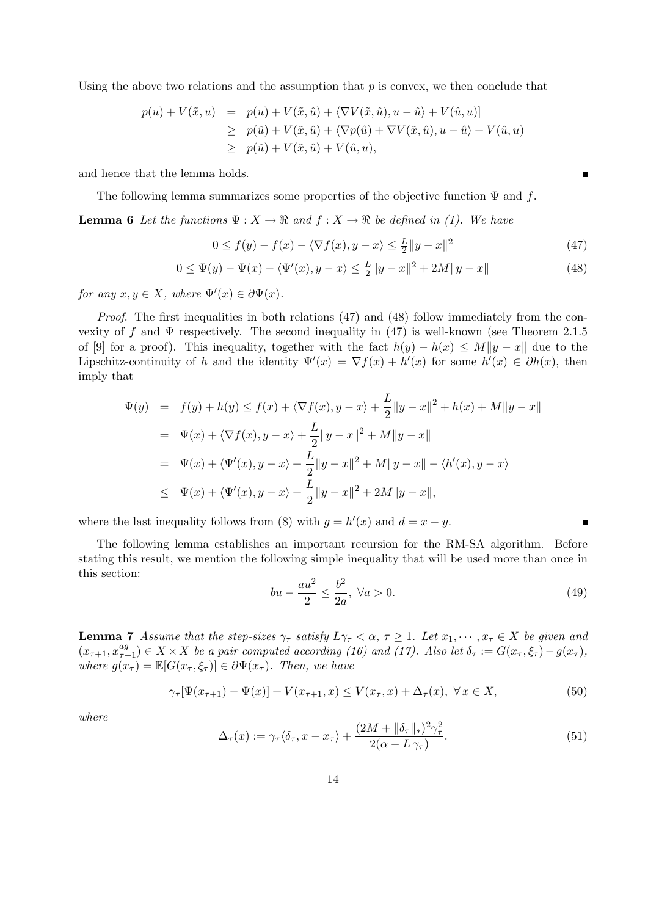Using the above two relations and the assumption that  $p$  is convex, we then conclude that

$$
p(u) + V(\tilde{x}, u) = p(u) + V(\tilde{x}, \hat{u}) + \langle \nabla V(\tilde{x}, \hat{u}), u - \hat{u} \rangle + V(\hat{u}, u)]
$$
  
\n
$$
\geq p(\hat{u}) + V(\tilde{x}, \hat{u}) + \langle \nabla p(\hat{u}) + \nabla V(\tilde{x}, \hat{u}), u - \hat{u} \rangle + V(\hat{u}, u)
$$
  
\n
$$
\geq p(\hat{u}) + V(\tilde{x}, \hat{u}) + V(\hat{u}, u),
$$

and hence that the lemma holds.

The following lemma summarizes some properties of the objective function  $\Psi$  and f.

**Lemma 6** Let the functions  $\Psi: X \to \mathbb{R}$  and  $f: X \to \mathbb{R}$  be defined in (1). We have

$$
0 \le f(y) - f(x) - \langle \nabla f(x), y - x \rangle \le \frac{L}{2} \|y - x\|^2 \tag{47}
$$

$$
0 \le \Psi(y) - \Psi(x) - \langle \Psi'(x), y - x \rangle \le \frac{L}{2} \|y - x\|^2 + 2M \|y - x\|
$$
\n(48)

for any  $x, y \in X$ , where  $\Psi'(x) \in \partial \Psi(x)$ .

Proof. The first inequalities in both relations (47) and (48) follow immediately from the convexity of f and  $\Psi$  respectively. The second inequality in (47) is well-known (see Theorem 2.1.5 of [9] for a proof). This inequality, together with the fact  $h(y) - h(x) \le M||y - x||$  due to the Lipschitz-continuity of h and the identity  $\Psi'(x) = \nabla f(x) + h'(x)$  for some  $h'(x) \in \partial h(x)$ , then imply that

$$
\Psi(y) = f(y) + h(y) \le f(x) + \langle \nabla f(x), y - x \rangle + \frac{L}{2} \|y - x\|^2 + h(x) + M \|y - x\|
$$
  
\n
$$
= \Psi(x) + \langle \nabla f(x), y - x \rangle + \frac{L}{2} \|y - x\|^2 + M \|y - x\|
$$
  
\n
$$
= \Psi(x) + \langle \Psi'(x), y - x \rangle + \frac{L}{2} \|y - x\|^2 + M \|y - x\| - \langle h'(x), y - x \rangle
$$
  
\n
$$
\le \Psi(x) + \langle \Psi'(x), y - x \rangle + \frac{L}{2} \|y - x\|^2 + 2M \|y - x\|,
$$

where the last inequality follows from (8) with  $g = h'(x)$  and  $d = x - y$ .

The following lemma establishes an important recursion for the RM-SA algorithm. Before stating this result, we mention the following simple inequality that will be used more than once in this section:

$$
bu - \frac{au^2}{2} \le \frac{b^2}{2a}, \ \forall a > 0.
$$
 (49)

**Lemma 7** Assume that the step-sizes  $\gamma_{\tau}$  satisfy  $L\gamma_{\tau} < \alpha, \tau \geq 1$ . Let  $x_1, \dots, x_{\tau} \in X$  be given and  $(x_{\tau+1}, x_{\tau+1}^{ag}) \in X \times X$  be a pair computed according (16) and (17). Also let  $\delta_{\tau} := G(x_{\tau}, \xi_{\tau}) - g(x_{\tau}),$ where  $g(x_\tau) = \mathbb{E}[G(x_\tau, \xi_\tau)] \in \partial \Psi(x_\tau)$ . Then, we have

$$
\gamma_{\tau}[\Psi(x_{\tau+1}) - \Psi(x)] + V(x_{\tau+1}, x) \le V(x_{\tau}, x) + \Delta_{\tau}(x), \ \forall x \in X,\tag{50}
$$

where

$$
\Delta_{\tau}(x) := \gamma_{\tau} \langle \delta_{\tau}, x - x_{\tau} \rangle + \frac{(2M + \|\delta_{\tau}\|_{*})^{2} \gamma_{\tau}^{2}}{2(\alpha - L \gamma_{\tau})}.
$$
\n(51)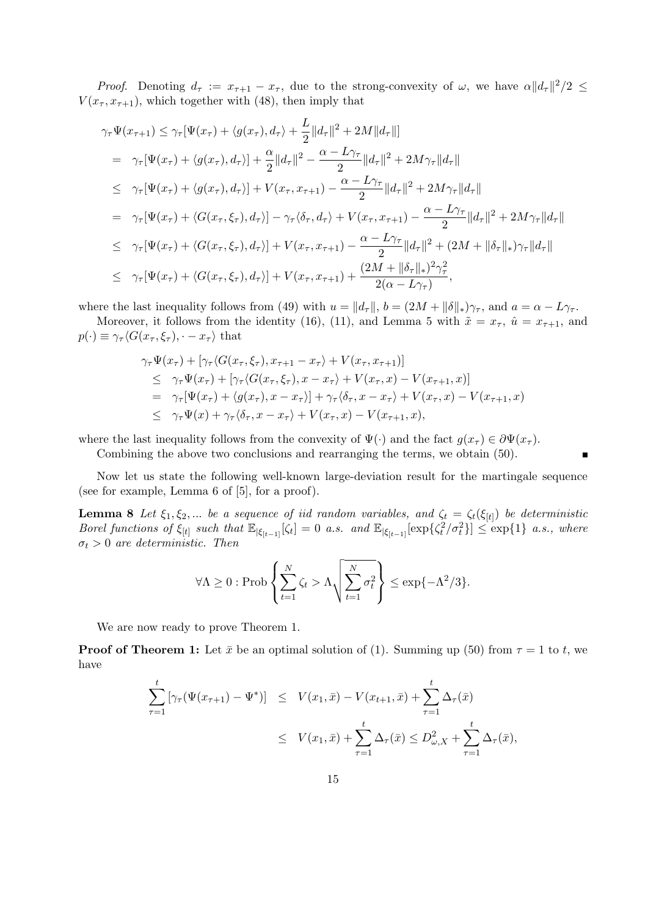*Proof.* Denoting  $d_\tau := x_{\tau+1} - x_\tau$ , due to the strong-convexity of  $\omega$ , we have  $\alpha ||d_\tau||^2/2 \leq$  $V(x_{\tau}, x_{\tau+1})$ , which together with (48), then imply that

$$
\gamma_{\tau}\Psi(x_{\tau+1}) \leq \gamma_{\tau}[\Psi(x_{\tau}) + \langle g(x_{\tau}), d_{\tau} \rangle + \frac{L}{2}||d_{\tau}||^{2} + 2M||d_{\tau}||]
$$
\n
$$
= \gamma_{\tau}[\Psi(x_{\tau}) + \langle g(x_{\tau}), d_{\tau} \rangle] + \frac{\alpha}{2}||d_{\tau}||^{2} - \frac{\alpha - L\gamma_{\tau}}{2}||d_{\tau}||^{2} + 2M\gamma_{\tau}||d_{\tau}||
$$
\n
$$
\leq \gamma_{\tau}[\Psi(x_{\tau}) + \langle g(x_{\tau}), d_{\tau} \rangle] + V(x_{\tau}, x_{\tau+1}) - \frac{\alpha - L\gamma_{\tau}}{2}||d_{\tau}||^{2} + 2M\gamma_{\tau}||d_{\tau}||
$$
\n
$$
= \gamma_{\tau}[\Psi(x_{\tau}) + \langle G(x_{\tau}, \xi_{\tau}), d_{\tau} \rangle] - \gamma_{\tau} \langle \delta_{\tau}, d_{\tau} \rangle + V(x_{\tau}, x_{\tau+1}) - \frac{\alpha - L\gamma_{\tau}}{2}||d_{\tau}||^{2} + 2M\gamma_{\tau}||d_{\tau}||
$$
\n
$$
\leq \gamma_{\tau}[\Psi(x_{\tau}) + \langle G(x_{\tau}, \xi_{\tau}), d_{\tau} \rangle] + V(x_{\tau}, x_{\tau+1}) - \frac{\alpha - L\gamma_{\tau}}{2}||d_{\tau}||^{2} + (2M + ||\delta_{\tau}||_{*})\gamma_{\tau}||d_{\tau}||
$$
\n
$$
\leq \gamma_{\tau}[\Psi(x_{\tau}) + \langle G(x_{\tau}, \xi_{\tau}), d_{\tau} \rangle] + V(x_{\tau}, x_{\tau+1}) + \frac{(2M + ||\delta_{\tau}||_{*})^{2}\gamma_{\tau}^{2}}{2(\alpha - L\gamma_{\tau})},
$$

where the last inequality follows from (49) with  $u = ||d_\tau||$ ,  $b = (2M + ||\delta||_*)\gamma_\tau$ , and  $a = \alpha - L\gamma_\tau$ .

Moreover, it follows from the identity (16), (11), and Lemma 5 with  $\tilde{x} = x_{\tau}$ ,  $\hat{u} = x_{\tau+1}$ , and  $p(\cdot) \equiv \gamma_\tau \langle G(x_\tau, \xi_\tau), \cdot - x_\tau \rangle$  that

$$
\gamma_{\tau}\Psi(x_{\tau}) + [\gamma_{\tau}\langle G(x_{\tau},\xi_{\tau}),x_{\tau+1}-x_{\tau}\rangle + V(x_{\tau},x_{\tau+1})] \n\leq \gamma_{\tau}\Psi(x_{\tau}) + [\gamma_{\tau}\langle G(x_{\tau},\xi_{\tau}),x-x_{\tau}\rangle + V(x_{\tau},x) - V(x_{\tau+1},x)] \n= \gamma_{\tau}[\Psi(x_{\tau}) + \langle g(x_{\tau}),x-x_{\tau}\rangle] + \gamma_{\tau}\langle \delta_{\tau},x-x_{\tau}\rangle + V(x_{\tau},x) - V(x_{\tau+1},x) \n\leq \gamma_{\tau}\Psi(x) + \gamma_{\tau}\langle \delta_{\tau},x-x_{\tau}\rangle + V(x_{\tau},x) - V(x_{\tau+1},x),
$$

where the last inequality follows from the convexity of  $\Psi(\cdot)$  and the fact  $g(x_\tau) \in \partial \Psi(x_\tau)$ .

Combining the above two conclusions and rearranging the terms, we obtain (50).

Now let us state the following well-known large-deviation result for the martingale sequence (see for example, Lemma 6 of [5], for a proof).

**Lemma 8** Let  $\xi_1, \xi_2, ...$  be a sequence of iid random variables, and  $\zeta_t = \zeta_t(\xi_{[t]})$  be deterministic Borel functions of  $\xi_{[t]}$  such that  $\mathbb{E}_{|\xi_{[t-1]}}[\zeta_t] = 0$  a.s. and  $\mathbb{E}_{|\xi_{[t-1]}}[\exp{\{\zeta_t^2/\sigma_t^2\}}] \leq \exp{1}$  a.s., where  $\sigma_t > 0$  are deterministic. Then

$$
\forall \Lambda \geq 0 : \mathrm{Prob}\left\{\sum_{t=1}^N \zeta_t > \Lambda \sqrt{\sum_{t=1}^N \sigma_t^2}\right\} \leq \exp\{-\Lambda^2/3\}.
$$

We are now ready to prove Theorem 1.

**Proof of Theorem 1:** Let  $\bar{x}$  be an optimal solution of (1). Summing up (50) from  $\tau = 1$  to t, we have

$$
\sum_{\tau=1}^{t} \left[ \gamma_{\tau}(\Psi(x_{\tau+1}) - \Psi^*) \right] \leq V(x_1, \bar{x}) - V(x_{t+1}, \bar{x}) + \sum_{\tau=1}^{t} \Delta_{\tau}(\bar{x})
$$
\n
$$
\leq V(x_1, \bar{x}) + \sum_{\tau=1}^{t} \Delta_{\tau}(\bar{x}) \leq D_{\omega, X}^2 + \sum_{\tau=1}^{t} \Delta_{\tau}(\bar{x}),
$$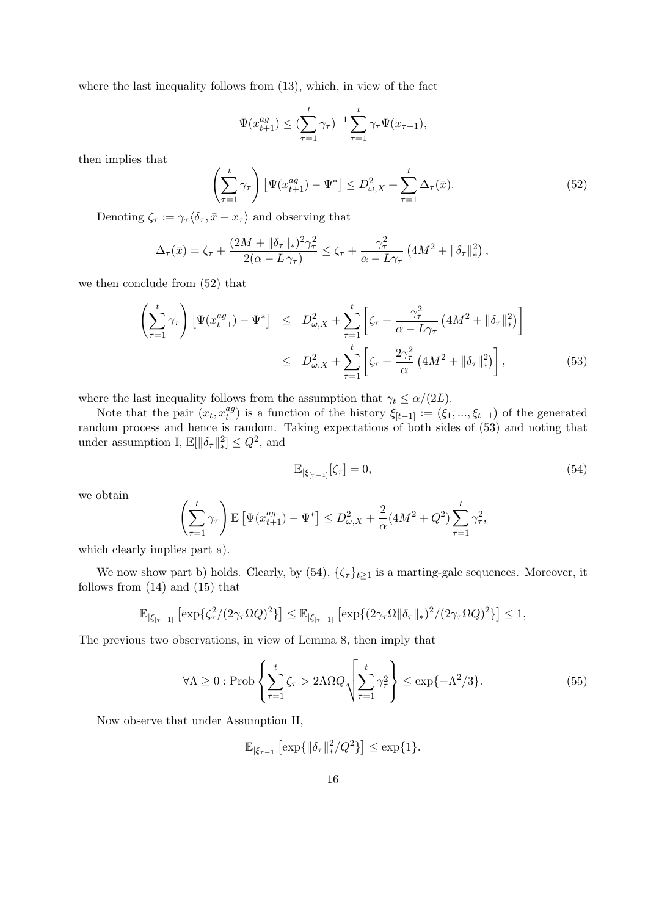where the last inequality follows from (13), which, in view of the fact

$$
\Psi(x_{t+1}^{ag}) \leq (\sum_{\tau=1}^{t} \gamma_{\tau})^{-1} \sum_{\tau=1}^{t} \gamma_{\tau} \Psi(x_{\tau+1}),
$$

then implies that

$$
\left(\sum_{\tau=1}^{t} \gamma_{\tau}\right) \left[\Psi(x_{t+1}^{ag}) - \Psi^*\right] \leq D_{\omega,X}^2 + \sum_{\tau=1}^{t} \Delta_{\tau}(\bar{x}).\tag{52}
$$

Denoting  $\zeta_{\tau} := \gamma_{\tau} \langle \delta_{\tau}, \bar{x} - x_{\tau} \rangle$  and observing that

$$
\Delta_{\tau}(\bar{x}) = \zeta_{\tau} + \frac{(2M + \|\delta_{\tau}\|_{*})^{2}\gamma_{\tau}^{2}}{2(\alpha - L\gamma_{\tau})} \leq \zeta_{\tau} + \frac{\gamma_{\tau}^{2}}{\alpha - L\gamma_{\tau}} \left(4M^{2} + \|\delta_{\tau}\|_{*}^{2}\right),
$$

we then conclude from (52) that

$$
\left(\sum_{\tau=1}^{t} \gamma_{\tau}\right) \left[\Psi(x_{t+1}^{ag}) - \Psi^{*}\right] \leq D_{\omega,X}^{2} + \sum_{\tau=1}^{t} \left[\zeta_{\tau} + \frac{\gamma_{\tau}^{2}}{\alpha - L\gamma_{\tau}} \left(4M^{2} + \|\delta_{\tau}\|_{*}^{2}\right)\right]
$$
  

$$
\leq D_{\omega,X}^{2} + \sum_{\tau=1}^{t} \left[\zeta_{\tau} + \frac{2\gamma_{\tau}^{2}}{\alpha} \left(4M^{2} + \|\delta_{\tau}\|_{*}^{2}\right)\right],
$$
 (53)

where the last inequality follows from the assumption that  $\gamma_t \leq \alpha/(2L)$ .

Note that the pair  $(x_t, x_t^{ag})$  $t_t^{ag}$ ) is a function of the history  $\xi_{[t-1]} := (\xi_1, ..., \xi_{t-1})$  of the generated random process and hence is random. Taking expectations of both sides of (53) and noting that under assumption I,  $\mathbb{E}[\|\delta_{\tau}\|_{*}^{2}] \leq Q^{2}$ , and

$$
\mathbb{E}_{|\xi_{\lceil \tau - 1\rceil}}[\zeta_{\tau}] = 0,\tag{54}
$$

we obtain

$$
\left(\sum_{\tau=1}^t \gamma_\tau\right) \mathbb{E}\left[\Psi(x_{t+1}^{ag}) - \Psi^*\right] \le D_{\omega,X}^2 + \frac{2}{\alpha} (4M^2 + Q^2) \sum_{\tau=1}^t \gamma_\tau^2,
$$

which clearly implies part a).

We now show part b) holds. Clearly, by  $(54)$ ,  $\{\zeta_{\tau}\}_{t\geq 1}$  is a marting-gale sequences. Moreover, it follows from (14) and (15) that

$$
\mathbb{E}_{|\xi_{[\tau-1]}}\left[\exp\{\zeta_{\tau}^2/(2\gamma_{\tau}\Omega Q)^2\}\right] \leq \mathbb{E}_{|\xi_{[\tau-1]}}\left[\exp\{(2\gamma_{\tau}\Omega\|\delta_{\tau}\|_{*})^2/(2\gamma_{\tau}\Omega Q)^2\}\right] \leq 1,
$$

The previous two observations, in view of Lemma 8, then imply that

$$
\forall \Lambda \ge 0 : \text{Prob}\left\{ \sum_{\tau=1}^{t} \zeta_{\tau} > 2\Lambda \Omega Q \sqrt{\sum_{\tau=1}^{t} \gamma_{\tau}^{2}} \right\} \le \exp\{-\Lambda^{2}/3\}.
$$
 (55)

Now observe that under Assumption II,

$$
\mathbb{E}_{|\xi_{\tau-1}} \left[ \exp\{ \|\delta_{\tau}\|_{*}^{2}/Q^{2} \} \right] \leq \exp\{1\}.
$$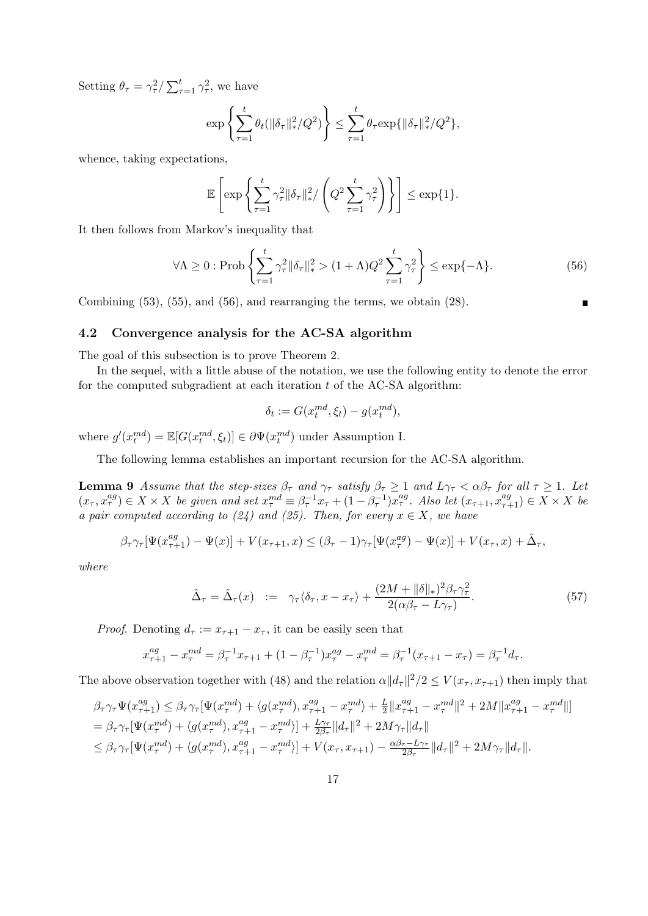Setting  $\theta_{\tau} = \gamma_{\tau}^2 / \sum_{\tau=1}^t \gamma_{\tau}^2$ , we have

$$
\exp\left\{\sum_{\tau=1}^t \theta_t(\|\delta_\tau\|_*^2/Q^2)\right\} \le \sum_{\tau=1}^t \theta_\tau \exp\{\|\delta_\tau\|_*^2/Q^2\},\
$$

whence, taking expectations,

$$
\mathbb{E}\left[\exp\left\{\sum_{\tau=1}^t \gamma_\tau^2 \|\delta_\tau\|_*^2 / \left(Q^2 \sum_{\tau=1}^t \gamma_\tau^2\right)\right\}\right] \le \exp\{1\}.
$$

It then follows from Markov's inequality that

$$
\forall \Lambda \ge 0 : \text{Prob}\left\{ \sum_{\tau=1}^{t} \gamma_{\tau}^{2} \|\delta_{\tau}\|_{*}^{2} > (1+\Lambda)Q^{2} \sum_{\tau=1}^{t} \gamma_{\tau}^{2} \right\} \le \exp\{-\Lambda\}.
$$
 (56)

Combining (53), (55), and (56), and rearranging the terms, we obtain (28).

#### 4.2 Convergence analysis for the AC-SA algorithm

The goal of this subsection is to prove Theorem 2.

In the sequel, with a little abuse of the notation, we use the following entity to denote the error for the computed subgradient at each iteration  $t$  of the AC-SA algorithm:

$$
\delta_t := G(x_t^{md}, \xi_t) - g(x_t^{md}),
$$

where  $g'(x_t^{md}) = \mathbb{E}[G(x_t^{md}, \xi_t)] \in \partial \Psi(x_t^{md})$  under Assumption I.

The following lemma establishes an important recursion for the AC-SA algorithm.

**Lemma 9** Assume that the step-sizes  $\beta_{\tau}$  and  $\gamma_{\tau}$  satisfy  $\beta_{\tau} \ge 1$  and  $L\gamma_{\tau} < \alpha\beta_{\tau}$  for all  $\tau \ge 1$ . Let  $(x_\tau, x_\tau^{ag}) \in X \times X$  be given and set  $x_\tau^{md} \equiv \beta_\tau^{-1} x_\tau + (1 - \beta_\tau^{-1}) x_\tau^{ag}$ . Also let  $(x_{\tau+1}, x_{\tau+1}^{ag}) \in X \times X$  be a pair computed according to (24) and (25). Then, for every  $x \in X$ , we have

$$
\beta_{\tau}\gamma_{\tau}[\Psi(x_{\tau+1}^{ag})-\Psi(x)]+V(x_{\tau+1},x)\leq(\beta_{\tau}-1)\gamma_{\tau}[\Psi(x_{\tau}^{ag})-\Psi(x)]+V(x_{\tau},x)+\hat{\Delta}_{\tau},
$$

where

$$
\hat{\Delta}_{\tau} = \hat{\Delta}_{\tau}(x) := \gamma_{\tau} \langle \delta_{\tau}, x - x_{\tau} \rangle + \frac{(2M + \|\delta\|_{*})^{2} \beta_{\tau} \gamma_{\tau}^{2}}{2(\alpha \beta_{\tau} - L \gamma_{\tau})}.
$$
\n(57)

*Proof.* Denoting  $d_{\tau} := x_{\tau+1} - x_{\tau}$ , it can be easily seen that

$$
x_{\tau+1}^{ag} - x_{\tau}^{md} = \beta_{\tau}^{-1} x_{\tau+1} + (1 - \beta_{\tau}^{-1}) x_{\tau}^{ag} - x_{\tau}^{md} = \beta_{\tau}^{-1} (x_{\tau+1} - x_{\tau}) = \beta_{\tau}^{-1} d_{\tau}.
$$

The above observation together with (48) and the relation  $\alpha ||d_{\tau}||^2/2 \le V(x_{\tau}, x_{\tau+1})$  then imply that

$$
\beta_{\tau}\gamma_{\tau}\Psi(x_{\tau+1}^{ag}) \leq \beta_{\tau}\gamma_{\tau}[\Psi(x_{\tau}^{md}) + \langle g(x_{\tau}^{md}), x_{\tau+1}^{ag} - x_{\tau}^{md} \rangle + \frac{L}{2}||x_{\tau+1}^{ag} - x_{\tau}^{md}||^{2} + 2M||x_{\tau+1}^{ag} - x_{\tau}^{md}||^{2}
$$
\n
$$
= \beta_{\tau}\gamma_{\tau}[\Psi(x_{\tau}^{md}) + \langle g(x_{\tau}^{md}), x_{\tau+1}^{ag} - x_{\tau}^{md} \rangle] + \frac{L\gamma_{\tau}}{2\beta_{\tau}}||d_{\tau}||^{2} + 2M\gamma_{\tau}||d_{\tau}||
$$
\n
$$
\leq \beta_{\tau}\gamma_{\tau}[\Psi(x_{\tau}^{md}) + \langle g(x_{\tau}^{md}), x_{\tau+1}^{ag} - x_{\tau}^{md} \rangle] + V(x_{\tau}, x_{\tau+1}) - \frac{\alpha\beta_{\tau} - L\gamma_{\tau}}{2\beta_{\tau}}||d_{\tau}||^{2} + 2M\gamma_{\tau}||d_{\tau}||.
$$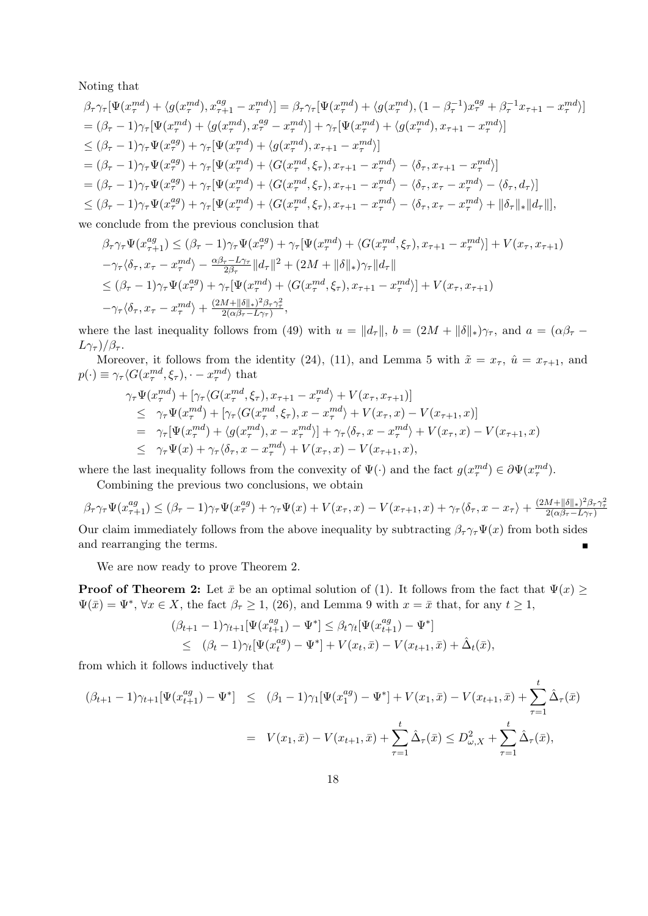Noting that

$$
\beta_{\tau}\gamma_{\tau}[\Psi(x_{\tau}^{md}) + \langle g(x_{\tau}^{md}), x_{\tau+1}^{ag} - x_{\tau}^{md} \rangle] = \beta_{\tau}\gamma_{\tau}[\Psi(x_{\tau}^{md}) + \langle g(x_{\tau}^{md}), (1 - \beta_{\tau}^{-1})x_{\tau}^{ag} + \beta_{\tau}^{-1}x_{\tau+1} - x_{\tau}^{md} \rangle]
$$
\n
$$
= (\beta_{\tau} - 1)\gamma_{\tau}[\Psi(x_{\tau}^{md}) + \langle g(x_{\tau}^{md}), x_{\tau}^{ag} - x_{\tau}^{md} \rangle] + \gamma_{\tau}[\Psi(x_{\tau}^{md}) + \langle g(x_{\tau}^{md}), x_{\tau+1} - x_{\tau}^{md} \rangle]
$$
\n
$$
\leq (\beta_{\tau} - 1)\gamma_{\tau}\Psi(x_{\tau}^{ag}) + \gamma_{\tau}[\Psi(x_{\tau}^{md}) + \langle g(x_{\tau}^{md}), x_{\tau+1} - x_{\tau}^{md} \rangle]
$$
\n
$$
= (\beta_{\tau} - 1)\gamma_{\tau}\Psi(x_{\tau}^{ag}) + \gamma_{\tau}[\Psi(x_{\tau}^{md}) + \langle G(x_{\tau}^{md}, \xi_{\tau}), x_{\tau+1} - x_{\tau}^{md} \rangle - \langle \delta_{\tau}, x_{\tau+1} - x_{\tau}^{md} \rangle]
$$
\n
$$
= (\beta_{\tau} - 1)\gamma_{\tau}\Psi(x_{\tau}^{ag}) + \gamma_{\tau}[\Psi(x_{\tau}^{md}) + \langle G(x_{\tau}^{md}, \xi_{\tau}), x_{\tau+1} - x_{\tau}^{md} \rangle - \langle \delta_{\tau}, x_{\tau} - x_{\tau}^{md} \rangle - \langle \delta_{\tau}, d_{\tau} \rangle]
$$
\n
$$
\leq (\beta_{\tau} - 1)\gamma_{\tau}\Psi(x_{\tau}^{ag}) + \gamma_{\tau}[\Psi(x_{\tau}^{md}) + \langle G(x_{\tau}^{md}, \xi_{\tau}), x_{\tau+1} - x_{\tau}^{md} \rangle - \langle \delta_{\tau}, x_{\tau} - x_{\tau}^{md} \rangle + ||\delta_{\tau}||_{*}||d_{\tau}||],
$$

we conclude from the previous conclusion that

$$
\beta_{\tau}\gamma_{\tau}\Psi(x_{\tau+1}^{ag}) \leq (\beta_{\tau}-1)\gamma_{\tau}\Psi(x_{\tau}^{ag}) + \gamma_{\tau}[\Psi(x_{\tau}^{md}) + \langle G(x_{\tau}^{md},\xi_{\tau}),x_{\tau+1} - x_{\tau}^{md}\rangle] + V(x_{\tau},x_{\tau+1})
$$
  
\n
$$
-\gamma_{\tau}\langle\delta_{\tau},x_{\tau} - x_{\tau}^{md}\rangle - \frac{\alpha\beta_{\tau}-L\gamma_{\tau}}{2\beta_{\tau}}\|d_{\tau}\|^{2} + (2M + \|\delta\|_{*})\gamma_{\tau}\|d_{\tau}\|
$$
  
\n
$$
\leq (\beta_{\tau}-1)\gamma_{\tau}\Psi(x_{\tau}^{ag}) + \gamma_{\tau}[\Psi(x_{\tau}^{md}) + \langle G(x_{\tau}^{md},\xi_{\tau}),x_{\tau+1} - x_{\tau}^{md}\rangle] + V(x_{\tau},x_{\tau+1})
$$
  
\n
$$
-\gamma_{\tau}\langle\delta_{\tau},x_{\tau} - x_{\tau}^{md}\rangle + \frac{(2M + \|\delta\|_{*})^{2}\beta_{\tau}\gamma_{\tau}^{2}}{2(\alpha\beta_{\tau}-L\gamma_{\tau})},
$$

where the last inequality follows from (49) with  $u = ||d_\tau||$ ,  $b = (2M + ||\delta||_*)\gamma_\tau$ , and  $a = (\alpha\beta_\tau - \alpha\beta_\tau)$  $L_{\gamma_{\tau}})/\beta_{\tau}$ .

Moreover, it follows from the identity (24), (11), and Lemma 5 with  $\tilde{x} = x_{\tau}$ ,  $\hat{u} = x_{\tau+1}$ , and  $p(\cdot) \equiv \gamma_\tau \langle G(x_\tau^{md}, \xi_\tau), \cdot - x_\tau^{md} \rangle$  that

$$
\gamma_{\tau}\Psi(x_{\tau}^{md}) + [\gamma_{\tau}\langle G(x_{\tau}^{md},\xi_{\tau}), x_{\tau+1} - x_{\tau}^{md}\rangle + V(x_{\tau}, x_{\tau+1})] \n\leq \gamma_{\tau}\Psi(x_{\tau}^{md}) + [\gamma_{\tau}\langle G(x_{\tau}^{md},\xi_{\tau}), x - x_{\tau}^{md}\rangle + V(x_{\tau}, x) - V(x_{\tau+1}, x)] \n= \gamma_{\tau}[\Psi(x_{\tau}^{md}) + \langle g(x_{\tau}^{md}), x - x_{\tau}^{md}\rangle] + \gamma_{\tau}\langle\delta_{\tau}, x - x_{\tau}^{md}\rangle + V(x_{\tau}, x) - V(x_{\tau+1}, x) \n\leq \gamma_{\tau}\Psi(x) + \gamma_{\tau}\langle\delta_{\tau}, x - x_{\tau}^{md}\rangle + V(x_{\tau}, x) - V(x_{\tau+1}, x),
$$

where the last inequality follows from the convexity of  $\Psi(\cdot)$  and the fact  $g(x_{\tau}^{md}) \in \partial \Psi(x_{\tau}^{md})$ .

Combining the previous two conclusions, we obtain

$$
\beta_{\tau}\gamma_{\tau}\Psi(x_{\tau+1}^{ag}) \leq (\beta_{\tau}-1)\gamma_{\tau}\Psi(x_{\tau}^{ag}) + \gamma_{\tau}\Psi(x) + V(x_{\tau},x) - V(x_{\tau+1},x) + \gamma_{\tau}\langle\delta_{\tau},x-x_{\tau}\rangle + \frac{(2M+\|\delta\|_{*})^{2}\beta_{\tau}\gamma_{\tau}^{2}}{2(\alpha\beta_{\tau}-L\gamma_{\tau})}
$$

Our claim immediately follows from the above inequality by subtracting  $\beta_{\tau} \gamma_{\tau} \Psi(x)$  from both sides and rearranging the terms.

We are now ready to prove Theorem 2.

**Proof of Theorem 2:** Let  $\bar{x}$  be an optimal solution of (1). It follows from the fact that  $\Psi(x) \geq$  $\Psi(\bar{x}) = \Psi^*, \forall x \in X$ , the fact  $\beta_{\tau} \geq 1$ , (26), and Lemma 9 with  $x = \bar{x}$  that, for any  $t \geq 1$ ,

$$
\begin{aligned} & (\beta_{t+1} - 1)\gamma_{t+1}[\Psi(x_{t+1}^{ag}) - \Psi^*] \leq \beta_t \gamma_t[\Psi(x_{t+1}^{ag}) - \Psi^*] \\ &\leq \ (\beta_t - 1)\gamma_t[\Psi(x_t^{ag}) - \Psi^*] + V(x_t, \bar{x}) - V(x_{t+1}, \bar{x}) + \hat{\Delta}_t(\bar{x}), \end{aligned}
$$

from which it follows inductively that

$$
(\beta_{t+1} - 1)\gamma_{t+1}[\Psi(x_{t+1}^{ag}) - \Psi^*] \leq (\beta_1 - 1)\gamma_1[\Psi(x_1^{ag}) - \Psi^*] + V(x_1, \bar{x}) - V(x_{t+1}, \bar{x}) + \sum_{\tau=1}^t \hat{\Delta}_{\tau}(\bar{x})
$$
  
=  $V(x_1, \bar{x}) - V(x_{t+1}, \bar{x}) + \sum_{\tau=1}^t \hat{\Delta}_{\tau}(\bar{x}) \leq D_{\omega, X}^2 + \sum_{\tau=1}^t \hat{\Delta}_{\tau}(\bar{x}),$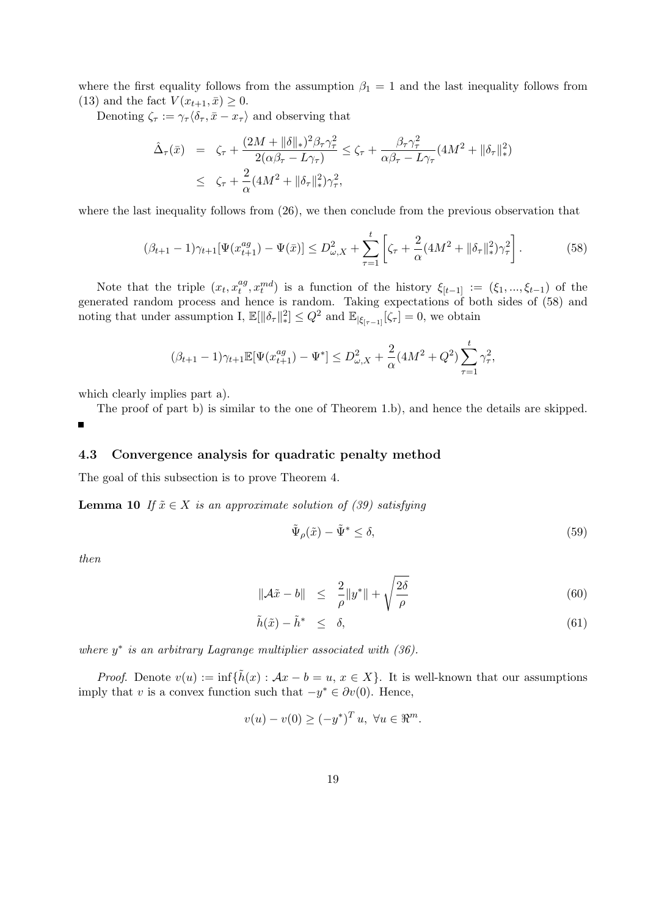where the first equality follows from the assumption  $\beta_1 = 1$  and the last inequality follows from (13) and the fact  $V(x_{t+1}, \bar{x}) \geq 0$ .

Denoting  $\zeta_{\tau} := \gamma_{\tau} \langle \delta_{\tau}, \bar{x} - x_{\tau} \rangle$  and observing that

$$
\begin{array}{rcl}\n\hat{\Delta}_{\tau}(\bar{x}) & = & \zeta_{\tau} + \frac{(2M + \|\delta\|_{*})^{2}\beta_{\tau}\gamma_{\tau}^{2}}{2(\alpha\beta_{\tau} - L\gamma_{\tau})} \leq \zeta_{\tau} + \frac{\beta_{\tau}\gamma_{\tau}^{2}}{\alpha\beta_{\tau} - L\gamma_{\tau}} (4M^{2} + \|\delta_{\tau}\|_{*}^{2}) \\
& \leq & \zeta_{\tau} + \frac{2}{\alpha}(4M^{2} + \|\delta_{\tau}\|_{*}^{2})\gamma_{\tau}^{2},\n\end{array}
$$

where the last inequality follows from  $(26)$ , we then conclude from the previous observation that

$$
(\beta_{t+1} - 1)\gamma_{t+1}[\Psi(x_{t+1}^{ag}) - \Psi(\bar{x})] \leq D_{\omega,X}^2 + \sum_{\tau=1}^t \left[ \zeta_\tau + \frac{2}{\alpha} (4M^2 + \|\delta_\tau\|_\ast^2) \gamma_\tau^2 \right]. \tag{58}
$$

Note that the triple  $(x_t, x_t^{ag})$  $t^{ag}_{t}, x^{md}_{t}$ ) is a function of the history  $\xi_{[t-1]} := (\xi_1, ..., \xi_{t-1})$  of the generated random process and hence is random. Taking expectations of both sides of (58) and noting that under assumption I,  $\mathbb{E}[\|\delta_\tau\|_\ast^2] \leq Q^2$  and  $\mathbb{E}_{|\xi_{[\tau-1]}}[\zeta_\tau] = 0$ , we obtain

$$
(\beta_{t+1} - 1)\gamma_{t+1} \mathbb{E}[\Psi(x_{t+1}^{ag}) - \Psi^*] \leq D_{\omega, X}^2 + \frac{2}{\alpha} (4M^2 + Q^2) \sum_{\tau=1}^t \gamma_\tau^2,
$$

which clearly implies part a).

The proof of part b) is similar to the one of Theorem 1.b), and hence the details are skipped.

#### 4.3 Convergence analysis for quadratic penalty method

The goal of this subsection is to prove Theorem 4.

**Lemma 10** If  $\tilde{x} \in X$  is an approximate solution of (39) satisfying

$$
\tilde{\Psi}_{\rho}(\tilde{x}) - \tilde{\Psi}^* \le \delta,\tag{59}
$$

then

$$
\|\mathcal{A}\tilde{x} - b\| \le \frac{2}{\rho} \|y^*\| + \sqrt{\frac{2\delta}{\rho}} \tag{60}
$$

$$
\tilde{h}(\tilde{x}) - \tilde{h}^* \leq \delta,\tag{61}
$$

where  $y^*$  is an arbitrary Lagrange multiplier associated with  $(36)$ .

*Proof.* Denote  $v(u) := \inf \{ \tilde{h}(x) : Ax - b = u, x \in X \}$ . It is well-known that our assumptions imply that v is a convex function such that  $-y^* \in \partial v(0)$ . Hence,

$$
v(u) - v(0) \ge (-y^*)^T u, \ \forall u \in \mathbb{R}^m.
$$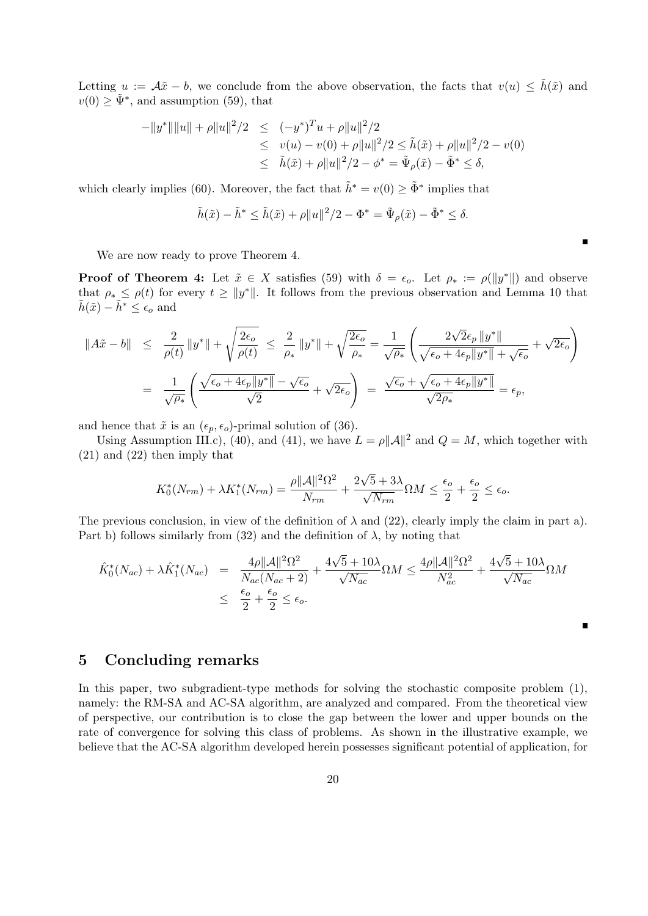Letting  $u := \mathcal{A}\tilde{x} - b$ , we conclude from the above observation, the facts that  $v(u) \leq \tilde{h}(\tilde{x})$  and  $v(0) \geq \tilde{\Psi}^*$ , and assumption (59), that

$$
-||y^*|| ||u|| + \rho ||u||^2/2 \le (-y^*)^T u + \rho ||u||^2/2
$$
  
\n
$$
\le v(u) - v(0) + \rho ||u||^2/2 \le \tilde{h}(\tilde{x}) + \rho ||u||^2/2 - v(0)
$$
  
\n
$$
\le \tilde{h}(\tilde{x}) + \rho ||u||^2/2 - \phi^* = \tilde{\Psi}_{\rho}(\tilde{x}) - \tilde{\Phi}^* \le \delta,
$$

which clearly implies (60). Moreover, the fact that  $\tilde{h}^* = v(0) \geq \tilde{\Phi}^*$  implies that

$$
\tilde{h}(\tilde{x}) - \tilde{h}^* \le \tilde{h}(\tilde{x}) + \rho \|u\|^2 / 2 - \Phi^* = \tilde{\Psi}_{\rho}(\tilde{x}) - \tilde{\Phi}^* \le \delta.
$$

We are now ready to prove Theorem 4.

**Proof of Theorem 4:** Let  $\tilde{x} \in X$  satisfies (59) with  $\delta = \epsilon_o$ . Let  $\rho_* := \rho(||y^*||)$  and observe that  $\rho_* \leq \rho(t)$  for every  $t \geq ||y^*||$ . It follows from the previous observation and Lemma 10 that  $\tilde{h}(\tilde{x}) - \tilde{h}^* \leq \epsilon_o$  and

$$
\begin{array}{rcl}\n\|A\tilde{x} - b\| & \leq & \displaystyle\frac{2}{\rho(t)} \left\|y^*\right\| + \sqrt{\frac{2\epsilon_o}{\rho(t)}} \right. \\
& \leq & \displaystyle\frac{2}{\rho_*} \left\|y^*\right\| + \sqrt{\frac{2\epsilon_o}{\rho_*}} = \frac{1}{\sqrt{\rho_*}} \left(\frac{2\sqrt{2}\epsilon_p \left\|y^*\right\|}{\sqrt{\epsilon_o + 4\epsilon_p \|y^*\|} + \sqrt{\epsilon_o}} + \sqrt{2\epsilon_o}\right) \\
& = & \displaystyle\frac{1}{\sqrt{\rho_*}} \left(\frac{\sqrt{\epsilon_o + 4\epsilon_p \|y^*\|} - \sqrt{\epsilon_o}}{\sqrt{2}} + \sqrt{2\epsilon_o}\right) = \frac{\sqrt{\epsilon_o} + \sqrt{\epsilon_o + 4\epsilon_p \|y^*\|}}{\sqrt{2\rho_*}} = \epsilon_p,\n\end{array}
$$

and hence that  $\tilde{x}$  is an  $(\epsilon_p, \epsilon_o)$ -primal solution of (36).

Using Assumption III.c), (40), and (41), we have  $L = \rho ||\mathcal{A}||^2$  and  $Q = M$ , which together with (21) and (22) then imply that

$$
K_0^*(N_{rm}) + \lambda K_1^*(N_{rm}) = \frac{\rho ||\mathcal{A}||^2 \Omega^2}{N_{rm}} + \frac{2\sqrt{5} + 3\lambda}{\sqrt{N_{rm}}}\Omega M \le \frac{\epsilon_o}{2} + \frac{\epsilon_o}{2} \le \epsilon_o.
$$

The previous conclusion, in view of the definition of  $\lambda$  and (22), clearly imply the claim in part a). Part b) follows similarly from (32) and the definition of  $\lambda$ , by noting that

$$
\hat{K}_0^*(N_{ac}) + \lambda \hat{K}_1^*(N_{ac}) = \frac{4\rho ||\mathcal{A}||^2 \Omega^2}{N_{ac}(N_{ac}+2)} + \frac{4\sqrt{5}+10\lambda}{\sqrt{N_{ac}}} \Omega M \le \frac{4\rho ||\mathcal{A}||^2 \Omega^2}{N_{ac}^2} + \frac{4\sqrt{5}+10\lambda}{\sqrt{N_{ac}}} \Omega M
$$
  

$$
\le \frac{\epsilon_o}{2} + \frac{\epsilon_o}{2} \le \epsilon_o.
$$

## 5 Concluding remarks

In this paper, two subgradient-type methods for solving the stochastic composite problem (1), namely: the RM-SA and AC-SA algorithm, are analyzed and compared. From the theoretical view of perspective, our contribution is to close the gap between the lower and upper bounds on the rate of convergence for solving this class of problems. As shown in the illustrative example, we believe that the AC-SA algorithm developed herein possesses significant potential of application, for

 $\blacksquare$ 

Ē